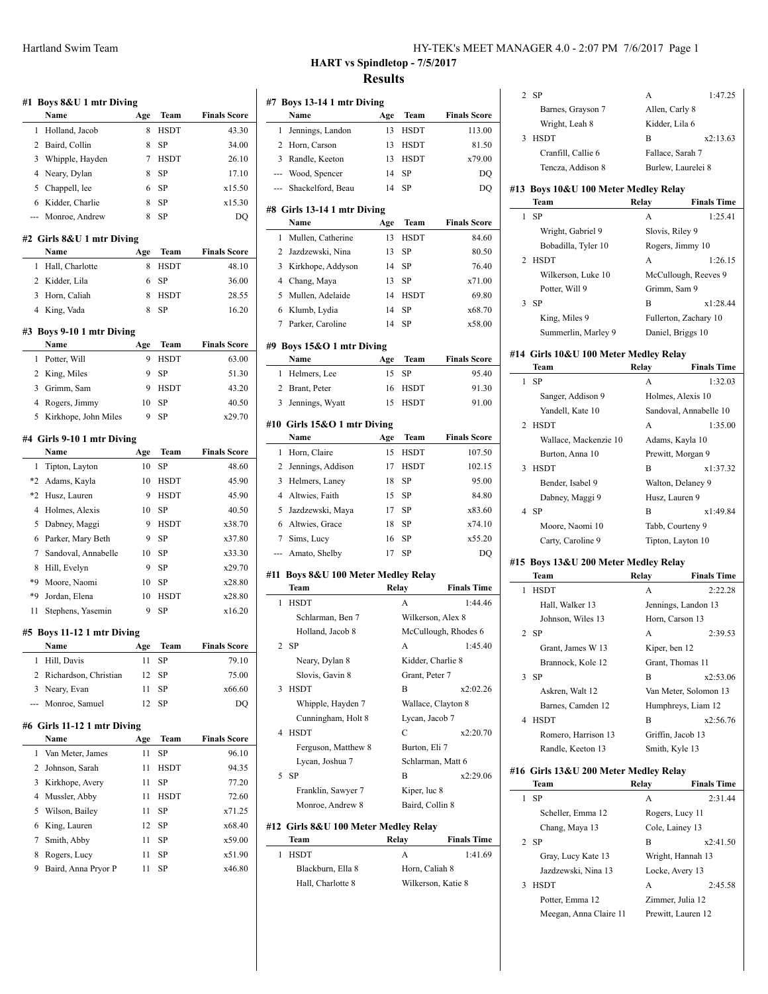| HY-TEK's MEET MANAGER 4.0 - 2:07 PM 7/6/2017 Page 1 |
|-----------------------------------------------------|
|-----------------------------------------------------|

# **HART vs Spindletop - 7/5/2017 Results**

| #1             | Boys 8&U 1 mtr Diving               |           |             |                     |  |  |
|----------------|-------------------------------------|-----------|-------------|---------------------|--|--|
|                | Name                                | Age       | Team        | <b>Finals Score</b> |  |  |
| 1              | Holland, Jacob                      | 8         | <b>HSDT</b> | 43.30               |  |  |
| 2              | Baird, Collin                       | 8         | SP          | 34.00               |  |  |
| 3              | Whipple, Hayden                     | 7         | <b>HSDT</b> | 26.10               |  |  |
| 4              | Neary, Dylan                        | 8         | SP          | 17.10               |  |  |
| 5              | Chappell, lee                       | 6         | SP          | x15.50              |  |  |
| 6              | Kidder, Charlie                     | 8         | SP          | x15.30              |  |  |
| ---            | Monroe, Andrew                      | 8         | SP          | DQ                  |  |  |
|                |                                     |           |             |                     |  |  |
|                | #2 Girls 8&U 1 mtr Diving<br>Name   | Age       | Team        | <b>Finals Score</b> |  |  |
| 1              | Hall, Charlotte                     | 8         | <b>HSDT</b> | 48.10               |  |  |
| 2              | Kidder, Lila                        | 6         | SP          | 36.00               |  |  |
| 3              | Horn, Caliah                        | 8         | <b>HSDT</b> | 28.55               |  |  |
| 4              | King, Vada                          | 8         | SP          | 16.20               |  |  |
|                |                                     |           |             |                     |  |  |
|                | #3 Boys 9-10 1 mtr Diving           |           |             |                     |  |  |
|                | Name                                | Age       | Team        | <b>Finals Score</b> |  |  |
| 1              | Potter, Will                        | 9         | HSDT        | 63.00               |  |  |
| 2              | King, Miles                         | 9         | SP          | 51.30               |  |  |
| 3              | Grimm, Sam                          | 9         | <b>HSDT</b> | 43.20               |  |  |
| 4              | Rogers, Jimmy                       | 10        | SP          | 40.50               |  |  |
| 5              | Kirkhope, John Miles                | 9         | SP          | x29.70              |  |  |
|                | #4 Girls 9-10 1 mtr Diving          |           |             |                     |  |  |
|                | Name                                | Age       | <b>Team</b> | <b>Finals Score</b> |  |  |
| 1              | Tipton, Layton                      | 10        | SP          | 48.60               |  |  |
| $*2$           | Adams, Kayla                        | 10        | <b>HSDT</b> | 45.90               |  |  |
| $*2$           | Husz, Lauren                        | 9         | <b>HSDT</b> | 45.90               |  |  |
| 4              | Holmes, Alexis                      | 10        | SP          | 40.50               |  |  |
| 5              | Dabney, Maggi                       | 9         | <b>HSDT</b> | x38.70              |  |  |
| 6              | Parker, Mary Beth                   | 9         | SP          | x37.80              |  |  |
| 7              | Sandoval, Annabelle                 | 10        | SP          | x33.30              |  |  |
| 8              | Hill, Evelyn                        | 9         | SP          | x29.70              |  |  |
| *9             | Moore, Naomi                        | 10        | SP          | x28.80              |  |  |
| *9             | Jordan, Elena                       | 10        | HSDT        | x28.80              |  |  |
| 11             | Stephens, Yasemin                   | 9         | SP          | x16.20              |  |  |
|                | #5 Boys 11-12 1 mtr Diving          |           |             |                     |  |  |
|                | Name                                | Age       | Team        | <b>Finals Score</b> |  |  |
| 1              | Hill, Davis                         | 11        | SP          | 79.10               |  |  |
| $\overline{2}$ | Richardson, Christian               | 12        | SP          | 75.00               |  |  |
| 3              | Neary, Evan                         | 11        | SP          | x66.60              |  |  |
| ---            | Monroe, Samuel                      | 12        | SP          | DQ                  |  |  |
|                |                                     |           |             |                     |  |  |
|                | #6 Girls 11-12 1 mtr Diving<br>Name |           | Team        | <b>Finals Score</b> |  |  |
| 1              | Van Meter, James                    | Age<br>11 | SP          | 96.10               |  |  |
| 2              | Johnson, Sarah                      | 11        | HSDT        | 94.35               |  |  |
| 3              | Kirkhope, Avery                     | 11        | SP          | 77.20               |  |  |
| 4              | Mussler, Abby                       | 11        | HSDT        | 72.60               |  |  |
| 5              | Wilson, Bailey                      | 11        | SP          | x71.25              |  |  |
| 6              | King, Lauren                        | 12        | SP          | x68.40              |  |  |
| 7              |                                     | 11        | SP          |                     |  |  |
| 8              | Smith, Abby                         |           |             | x59.00              |  |  |
| 9              | Rogers, Lucy                        | 11<br>11  | SP          | x51.90<br>x46.80    |  |  |
|                | Baird, Anna Pryor P                 |           | SP          |                     |  |  |
|                |                                     |           |             |                     |  |  |

|                | #7 Boys 13-14 1 mtr Diving           |       |                   |                      |
|----------------|--------------------------------------|-------|-------------------|----------------------|
|                | Name                                 | Age   | Team              | <b>Finals Score</b>  |
| 1              | Jennings, Landon                     | 13    | <b>HSDT</b>       | 113.00               |
| 2              | Horn, Carson                         | 13    | <b>HSDT</b>       | 81.50                |
| 3              | Randle, Keeton                       | 13    | <b>HSDT</b>       | x79.00               |
| ---            | Wood, Spencer                        | 14    | <b>SP</b>         | DO                   |
| ---            | Shackelford, Beau                    | 14    | <b>SP</b>         | DQ                   |
|                | #8 Girls 13-14 1 mtr Diving          |       |                   |                      |
|                | Name                                 | Age   | Team              | <b>Finals Score</b>  |
| 1              | Mullen, Catherine                    | 13    | <b>HSDT</b>       | 84.60                |
| 2              | Jazdzewski, Nina                     | 13    | <b>SP</b>         | 80.50                |
| 3              | Kirkhope, Addyson                    | 14    | <b>SP</b>         | 76.40                |
| $\overline{4}$ | Chang, Maya                          | 13    | SP                | x71.00               |
| 5              | Mullen, Adelaide                     | 14    | <b>HSDT</b>       | 69.80                |
| 6              | Klumb, Lydia                         | 14    | <b>SP</b>         | x68.70               |
| $\tau$         | Parker, Caroline                     | 14    | <b>SP</b>         | x58.00               |
|                |                                      |       |                   |                      |
|                | #9 Boys 15&O 1 mtr Diving<br>Name    |       |                   |                      |
|                |                                      | Age   | Team              | <b>Finals Score</b>  |
| 1              | Helmers, Lee                         | 15    | SP                | 95.40                |
| 2              | Brant, Peter                         | 16    | HSDT              | 91.30                |
| 3              | Jennings, Wyatt                      | 15    | <b>HSDT</b>       | 91.00                |
|                | #10 Girls 15&O 1 mtr Diving          |       |                   |                      |
|                | Name                                 | Age   | Team              | <b>Finals Score</b>  |
| 1              | Horn, Claire                         | 15    | <b>HSDT</b>       | 107.50               |
| 2              | Jennings, Addison                    | 17    | <b>HSDT</b>       | 102.15               |
| 3              | Helmers, Laney                       | 18    | <b>SP</b>         | 95.00                |
| $\overline{4}$ | Altwies, Faith                       | 15    | SP                | 84.80                |
| 5              | Jazdzewski, Maya                     | 17    | <b>SP</b>         | x83.60               |
| 6              | Altwies, Grace                       | 18    | <b>SP</b>         | x74.10               |
| 7              | Sims, Lucy                           | 16    | SP                | x55.20               |
| ---            | Amato, Shelby                        | 17    | <b>SP</b>         | DO                   |
|                | #11 Boys 8&U 100 Meter Medley Relay  |       |                   |                      |
|                | Team                                 | Relay |                   | <b>Finals Time</b>   |
| 1              | <b>HSDT</b>                          |       | A                 | 1:44.46              |
|                | Schlarman, Ben 7                     |       | Wilkerson, Alex 8 |                      |
|                | Holland, Jacob 8                     |       |                   | McCullough, Rhodes 6 |
|                | $2$ SP                               |       | А                 | 1:45.40              |
|                | Neary, Dylan 8                       |       | Kidder, Charlie 8 |                      |
|                | Slovis, Gavin 8                      |       | Grant, Peter 7    |                      |
| 3              | <b>HSDT</b>                          |       | В                 | x2:02.26             |
|                | Whipple, Hayden 7                    |       |                   | Wallace, Clayton 8   |
|                | Cunningham, Holt 8                   |       | Lycan, Jacob 7    |                      |
| 4              | <b>HSDT</b>                          |       | C                 | x2:20.70             |
|                | Ferguson, Matthew 8                  |       | Burton, Eli 7     |                      |
|                | Lycan, Joshua 7                      |       |                   | Schlarman, Matt 6    |
| 5              | -SP                                  |       | В                 | x2:29.06             |
|                | Franklin, Sawyer 7                   |       | Kiper, luc 8      |                      |
|                | Monroe, Andrew 8                     |       | Baird, Collin 8   |                      |
|                | #12 Girls 8&U 100 Meter Medley Relay |       |                   |                      |
|                | Team                                 | Relay |                   | <b>Finals Time</b>   |
| 1              | <b>HSDT</b>                          |       | A                 | 1:41.69              |
|                | Blackburn, Ella 8                    |       | Horn, Caliah 8    |                      |
|                | Hall, Charlotte 8                    |       |                   | Wilkerson, Katie 8   |
|                |                                      |       |                   |                      |
|                |                                      |       |                   |                      |
|                |                                      |       |                   |                      |

| 2 SP                                  | A<br>1:47.25                           |
|---------------------------------------|----------------------------------------|
| Barnes, Grayson 7                     | Allen, Carly 8                         |
| Wright, Leah 8                        | Kidder, Lila 6                         |
| <b>HSDT</b><br>3                      | B<br>x2:13.63                          |
| Cranfill, Callie 6                    | Fallace, Sarah 7                       |
| Tencza, Addison 8                     | Burlew, Laurelei 8                     |
|                                       |                                        |
| #13 Boys 10&U 100 Meter Medley Relay  |                                        |
| Team                                  | Relay<br><b>Finals Time</b>            |
| <b>SP</b><br>1                        | 1:25.41<br>А                           |
| Wright, Gabriel 9                     | Slovis, Riley 9                        |
| Bobadilla, Tyler 10                   | Rogers, Jimmy 10                       |
| <b>HSDT</b><br>2                      | A<br>1:26.15                           |
| Wilkerson, Luke 10                    | McCullough, Reeves 9                   |
| Potter, Will 9                        | Grimm, Sam 9                           |
| $3$ SP                                | B<br>x1:28.44                          |
|                                       |                                        |
| King, Miles 9                         | Fullerton, Zachary 10                  |
| Summerlin, Marley 9                   | Daniel, Briggs 10                      |
| #14 Girls 10&U 100 Meter Medley Relay |                                        |
| Team                                  | <b>Finals Time</b><br>Relay            |
| <b>SP</b><br>1                        | 1:32.03<br>A                           |
| Sanger, Addison 9                     | Holmes, Alexis 10                      |
| Yandell, Kate 10                      | Sandoval, Annabelle 10                 |
| 2                                     |                                        |
| <b>HSDT</b>                           | 1:35.00<br>A                           |
| Wallace, Mackenzie 10                 | Adams, Kayla 10                        |
| Burton, Anna 10                       | Prewitt, Morgan 9                      |
| <b>HSDT</b><br>3                      | B<br>x1:37.32                          |
| Bender, Isabel 9                      | Walton, Delaney 9                      |
| Dabney, Maggi 9                       | Husz, Lauren 9                         |
| 4 SP                                  | B<br>x1:49.84                          |
|                                       |                                        |
| Moore, Naomi 10                       | Tabb, Courteny 9                       |
| Carty, Caroline 9                     | Tipton, Layton 10                      |
|                                       |                                        |
| #15 Boys 13&U 200 Meter Medley Relay  |                                        |
| Team                                  | Relay<br><b>Finals Time</b>            |
| 1<br><b>HSDT</b>                      | 2:22.28<br>А                           |
| Hall, Walker 13                       | Jennings, Landon 13                    |
| Johnson, Wiles 13                     | Horn, Carson 13                        |
| -SP<br>2                              | А<br>2:39.53                           |
| Grant, James W 13                     | Kiper, ben 12                          |
| Brannock, Kole 12                     | Grant, Thomas 11                       |
| <b>SP</b><br>3                        | В<br>x2:53.06                          |
| Askren, Walt 12                       | Van Meter, Solomon 13                  |
| Barnes, Camden 12                     | Humphreys, Liam 12                     |
| 4<br><b>HSDT</b>                      | B<br>x2:56.76                          |
| Romero, Harrison 13                   | Griffin, Jacob 13                      |
| Randle, Keeton 13                     |                                        |
|                                       | Smith, Kyle 13                         |
| #16 Girls 13&U 200 Meter Medley Relay |                                        |
| Team                                  | Relay<br><b>Finals Time</b>            |
| 1<br>SP                               | 2:31.44<br>А                           |
| Scheller, Emma 12                     | Rogers, Lucy 11                        |
| Chang, Maya 13                        | Cole, Lainey 13                        |
| <b>SP</b><br>2                        | В<br>x2:41.50                          |
| Gray, Lucy Kate 13                    | Wright, Hannah 13                      |
| Jazdzewski, Nina 13                   | Locke, Avery 13                        |
| <b>HSDT</b><br>3                      | A<br>2:45.58                           |
| Potter, Emma 12                       |                                        |
| Meegan, Anna Claire 11                | Zimmer, Julia 12<br>Prewitt, Lauren 12 |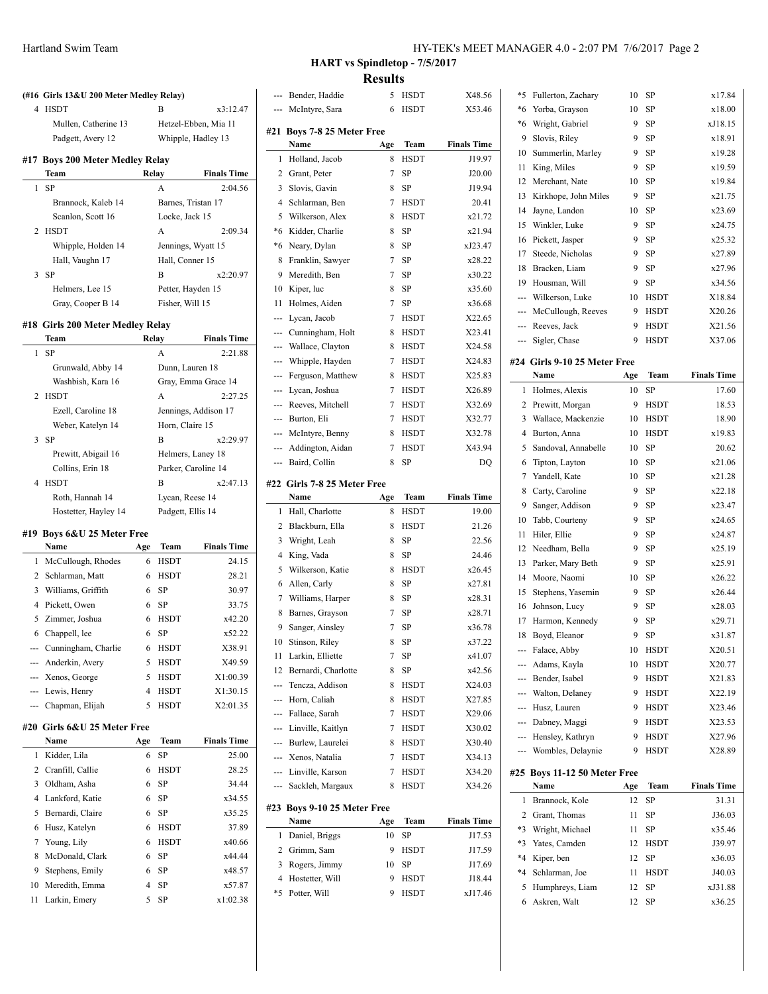|     | (#16 Girls 13&U 200 Meter Medley Relay) |       |                    |                      |
|-----|-----------------------------------------|-------|--------------------|----------------------|
| 4   | <b>HSDT</b>                             |       | В                  | x3:12.47             |
|     | Mullen, Catherine 13                    |       |                    | Hetzel-Ebben, Mia 11 |
|     | Padgett, Avery 12                       |       |                    | Whipple, Hadley 13   |
| #17 | <b>Boys 200 Meter Medley Relay</b>      |       |                    |                      |
|     | Team                                    | Relay |                    | <b>Finals Time</b>   |
| 1   | SP                                      |       | A                  | 2:04.56              |
|     | Brannock, Kaleb 14                      |       | Barnes, Tristan 17 |                      |
|     | Scanlon, Scott 16                       |       | Locke, Jack 15     |                      |
| 2   | <b>HSDT</b>                             |       | A                  | 2:09.34              |
|     | Whipple, Holden 14                      |       |                    | Jennings, Wyatt 15   |
|     | Hall, Vaughn 17                         |       | Hall, Conner 15    |                      |
| 3   | SP                                      |       | B                  | x2:20.97             |
|     | Helmers, Lee 15                         |       | Petter, Hayden 15  |                      |
|     | Gray, Cooper B 14                       |       | Fisher, Will 15    |                      |
|     |                                         |       |                    |                      |
|     | #18 Girls 200 Meter Medley Relay        | Relay |                    |                      |
|     | Team<br>SP                              |       |                    | <b>Finals Time</b>   |
| 1   |                                         |       | A                  | 2:21.88              |
|     | Grunwald, Abby 14                       |       | Dunn, Lauren 18    |                      |
|     | Washbish, Kara 16                       |       |                    | Gray, Emma Grace 14  |
| 2   | <b>HSDT</b>                             |       | A                  | 2:27.25              |
|     | Ezell, Caroline 18                      |       |                    | Jennings, Addison 17 |
|     | Weber, Katelyn 14                       |       | Horn, Claire 15    |                      |
| 3   | SP                                      |       | В                  | x2:29.97             |
|     | Prewitt, Abigail 16                     |       |                    | Helmers, Laney 18    |
|     | Collins, Erin 18                        |       |                    | Parker, Caroline 14  |
| 4   | <b>HSDT</b>                             |       | В                  | x2:47.13             |
|     | Roth, Hannah 14                         |       | Lycan, Reese 14    |                      |
|     | Hostetter, Hayley 14                    |       | Padgett, Ellis 14  |                      |
|     | #19 Boys 6&U 25 Meter Free              |       |                    |                      |
|     | Name                                    |       |                    | <b>Finals Time</b>   |
|     |                                         | Age   | Team               |                      |
|     | 1 McCullough, Rhodes                    | 6     | <b>HSDT</b>        | 24.15                |
|     | 2 Schlarman, Matt                       | 6     | HSDT               | 28.21                |
|     | 3 Williams, Griffith                    | 6     | SP                 | 30.97                |
| 4   | Pickett, Owen                           | 6     | SP                 | 33.75                |
| 5   | Zimmer, Joshua                          | 6     | HSDT               | x42.20               |
| 6   | Chappell, lee                           | 6     | SP                 | x52.22               |
|     | --- Cunningham, Charlie                 | 6     | HSDT               | X38.91               |
|     | --- Anderkin, Avery                     | 5     | HSDT               | X49.59               |
|     | --- Xenos, George                       | 5     | HSDT               | X1:00.39             |
|     | --- Lewis, Henry                        | 4     | <b>HSDT</b>        | X1:30.15             |
|     | --- Chapman, Elijah                     | 5     | <b>HSDT</b>        | X2:01.35             |
|     | #20 Girls 6&U 25 Meter Free             |       |                    |                      |
|     | Name                                    | Age   | Team               | <b>Finals Time</b>   |
| 1   | Kidder, Lila                            | 6     | SP                 | 25.00                |
| 2   | Cranfill, Callie                        | 6     | <b>HSDT</b>        | 28.25                |
| 3   | Oldham, Asha                            | 6     | SP                 | 34.44                |
| 4   | Lankford, Katie                         | 6     | SP                 | x34.55               |
| 5   | Bernardi, Claire                        | 6     | SP                 | x35.25               |
| 6   | Husz, Katelyn                           | 6     | HSDT               | 37.89                |
| 7   | Young, Lily                             | 6     | <b>HSDT</b>        | x40.66               |
| 8   | McDonald, Clark                         | 6     | SP                 | x44.44               |
| 9   | Stephens, Emily                         | 6     | SP                 | x48.57               |
| 10  | Meredith, Emma                          | 4     | SP                 | x57.87               |

## **HART vs Spindletop - 7/5/2017 Results**

| ---            | Bender, Haddie                      | 5   | HSDT        | X48.56             |
|----------------|-------------------------------------|-----|-------------|--------------------|
|                | McIntyre, Sara                      | 6   | <b>HSDT</b> | X53.46             |
|                |                                     |     |             |                    |
| #21            | Boys 7-8 25 Meter Free              |     |             |                    |
|                | Name                                | Age | Team        | <b>Finals Time</b> |
| 1              | Holland, Jacob                      | 8   | <b>HSDT</b> | J19.97             |
| 2              | Grant, Peter                        | 7   | SP          | J20.00             |
| 3              | Slovis, Gavin                       | 8   | SP          | J19.94             |
| $\overline{4}$ | Schlarman, Ben                      | 7   | HSDT        | 20.41              |
| 5              | Wilkerson, Alex                     | 8   | HSDT        | x21.72             |
| $*6$           | Kidder, Charlie                     | 8   | <b>SP</b>   | x21.94             |
| *6             | Neary, Dylan                        | 8   | <b>SP</b>   | xJ23.47            |
| 8              | Franklin, Sawyer                    | 7   | <b>SP</b>   | x28.22             |
| 9              | Meredith, Ben                       | 7   | SP          | x30.22             |
| 10             | Kiper, luc                          | 8   | SP          | x35.60             |
| 11             | Holmes, Aiden                       | 7   | SP          | x36.68             |
| ---            | Lycan, Jacob                        | 7   | <b>HSDT</b> | X22.65             |
| ---            | Cunningham, Holt                    | 8   | <b>HSDT</b> | X23.41             |
| ---            | Wallace, Clayton                    | 8   | <b>HSDT</b> | X24.58             |
| ---            | Whipple, Hayden                     | 7   | <b>HSDT</b> | X24.83             |
| ---            | Ferguson, Matthew                   | 8   | <b>HSDT</b> | X25.83             |
| ---            | Lycan, Joshua                       | 7   | HSDT        | X26.89             |
| ---            | Reeves, Mitchell                    | 7   | <b>HSDT</b> | X32.69             |
| ---            | Burton, Eli                         | 7   | <b>HSDT</b> | X32.77             |
| ---            | McIntyre, Benny                     | 8   | HSDT        | X32.78             |
| ---            | Addington, Aidan                    | 7   | HSDT        | X43.94             |
| ---            | Baird, Collin                       | 8   | <b>SP</b>   | DQ                 |
|                |                                     |     |             |                    |
|                | #22 Girls 7-8 25 Meter Free         |     |             |                    |
|                | Name                                | Age | Team        | <b>Finals Time</b> |
| 1              | Hall, Charlotte                     | 8   | <b>HSDT</b> | 19.00              |
| 2              | Blackburn, Ella                     | 8   | <b>HSDT</b> | 21.26              |
| 3              | Wright, Leah                        | 8   | SP          | 22.56              |
| $\overline{4}$ | King, Vada                          | 8   | SP          | 24.46              |
| 5              | Wilkerson, Katie                    | 8   | HSDT        | x26.45             |
| 6              | Allen, Carly                        | 8   | SP          | x27.81             |
| 7              | Williams, Harper                    | 8   | SP          | x28.31             |
| 8              | Barnes, Grayson                     | 7   | SP          | x28.71             |
| 9              | Sanger, Ainsley                     | 7   | SP          | x36.78             |
| 10             | Stinson, Riley                      | 8   | SP          | x37.22             |
| 11             | Larkin, Elliette                    | 7   | SP          | x41.07             |
| 12             | Bernardi, Charlotte                 | 8   | SP          | x42.56             |
| ---            | Tencza, Addison                     | 8   | <b>HSDT</b> | X24.03             |
| ---            | Horn, Caliah                        | 8   | HSDT        | X27.85             |
|                | --- Fallace, Sarah                  | 7   | HSDT        | X29.06             |
| ---            | Linville, Kaitlyn                   | 7   | <b>HSDT</b> | X30.02             |
| ---            | Burlew, Laurelei                    | 8   | <b>HSDT</b> | X30.40             |
| ---            | Xenos, Natalia                      | 7   | HSDT        | X34.13             |
|                | --- Linville, Karson                | 7   | HSDT        | X34.20             |
| ---            | Sackleh, Margaux                    | 8   | HSDT        | X34.26             |
|                |                                     |     |             |                    |
|                | #23 Boys 9-10 25 Meter Free<br>Name | Age | Team        | <b>Finals Time</b> |
| 1              |                                     | 10  | SP          | J17.53             |
|                | Daniel, Briggs                      | 9   |             |                    |
| 2<br>3         | Grimm, Sam                          |     | HSDT        | J17.59             |
|                | Rogers, Jimmy                       | 10  | SP          | J17.69             |
| $\overline{4}$ | Hostetter, Will                     | 9   | HSDT        | J18.44             |
| *5             | Potter, Will                        | 9   | <b>HSDT</b> | xJ17.46            |
|                |                                     |     |             |                    |

| $*5$    | Fullerton, Zachary                   | 10        | SP          | x17.84             |
|---------|--------------------------------------|-----------|-------------|--------------------|
| *6      | Yorba, Grayson                       | 10        | SP          | x18.00             |
| $*6$    | Wright, Gabriel                      | 9         | SP          | xJ18.15            |
| 9       | Slovis, Riley                        | 9         | SP          | x18.91             |
| 10      | Summerlin, Marley                    | 9         | SP          | x19.28             |
| 11      | King, Miles                          | 9         | SP          | x19.59             |
| 12      | Merchant, Nate                       | 10        | SP          | x19.84             |
| 13      | Kirkhope, John Miles                 | 9         | SP          | x21.75             |
| 14      | Jayne, Landon                        | 10        | SP          | x23.69             |
| 15      | Winkler, Luke                        | 9         | <b>SP</b>   | x24.75             |
| 16      | Pickett, Jasper                      | 9         | SP          | x25.32             |
| 17      | Steede, Nicholas                     | 9         | SP          | x27.89             |
| 18      | Bracken, Liam                        | 9         | <b>SP</b>   | x27.96             |
| 19      | Housman, Will                        | 9         | SP          | x34.56             |
| ---     | Wilkerson, Luke                      | 10        | HSDT        | X18.84             |
|         | --- McCullough, Reeves               | 9         | <b>HSDT</b> | X20.26             |
|         | --- Reeves, Jack                     | 9         | HSDT        | X21.56             |
|         | --- Sigler, Chase                    | 9         | <b>HSDT</b> | X37.06             |
|         |                                      |           |             |                    |
|         | #24 Girls 9-10 25 Meter Free         |           |             |                    |
|         | Name                                 | Age       | <b>Team</b> | <b>Finals Time</b> |
| 1       | Holmes, Alexis                       | 10        | SP          | 17.60              |
| 2       | Prewitt, Morgan                      | 9         | HSDT        | 18.53              |
| 3       | Wallace, Mackenzie                   | 10        | <b>HSDT</b> | 18.90              |
| 4       | Burton, Anna                         | 10        | <b>HSDT</b> | x19.83             |
| 5       | Sandoval, Annabelle                  | 10        | SP          | 20.62              |
| 6       | Tipton, Layton                       | 10        | SP          | x21.06             |
| 7       | Yandell, Kate                        | 10        | SP          | x21.28             |
| 8       | Carty, Caroline                      | 9         | SP          | x22.18             |
|         | Sanger, Addison                      | 9         | SP          | x23.47             |
| 9       |                                      |           |             |                    |
| 10      | Tabb, Courteny                       | 9         | SP          | x24.65             |
| 11      | Hiler, Ellie                         | 9         | SP          | x24.87             |
| 12      | Needham, Bella                       | 9         | SP          | x25.19             |
| 13      | Parker, Mary Beth                    | 9         | SP          | x25.91             |
| 14      | Moore, Naomi                         | 10        | SP          | x26.22             |
| 15      | Stephens, Yasemin                    | 9         | SP          | x26.44             |
| 16      | Johnson, Lucy                        | 9         | SP          | x28.03             |
| 17      | Harmon, Kennedy                      | 9         | SP          | x29.71             |
| 18      | Boyd, Eleanor                        | 9         | SP          | x31.87             |
| ---     | Falace, Abby                         | 10        | HSDT        | X20.51             |
|         | --- Adams, Kayla                     | 10        | HSDT        | X20.77             |
|         | --- Bender, Isabel                   | 9         | <b>HSDT</b> | X21.83             |
|         | --- Walton, Delaney                  | 9         | HSDT        | X22.19             |
|         | --- Husz, Lauren                     | 9         | <b>HSDT</b> | X23.46             |
|         | --- Dabney, Maggi                    | 9         | <b>HSDT</b> | X23.53             |
| ---     | Hensley, Kathryn                     | 9         | HSDT        | X27.96             |
| ---     | Wombles, Delaynie                    | 9         | HSDT        | X28.89             |
|         |                                      |           |             |                    |
|         | #25 Boys 11-12 50 Meter Free<br>Name |           |             |                    |
| 1       |                                      | Age<br>12 | Team        | <b>Finals Time</b> |
| 2       | Brannock, Kole                       |           | SP          | 31.31              |
|         | Grant, Thomas                        | 11        | SP          | J36.03             |
| *3      | Wright, Michael                      | 11        | SP          | x35.46             |
| $*3$    | Yates, Camden                        | 12        | HSDT        | J39.97             |
| $*_{4}$ | Kiper, ben                           | 12        | SP          | x36.03             |
| $*_{4}$ | Schlarman, Joe                       | 11        | <b>HSDT</b> | J40.03             |
| 5<br>6  | Humphreys, Liam<br>Askren, Walt      | 12<br>12  | SP<br>SP    | xJ31.88<br>x36.25  |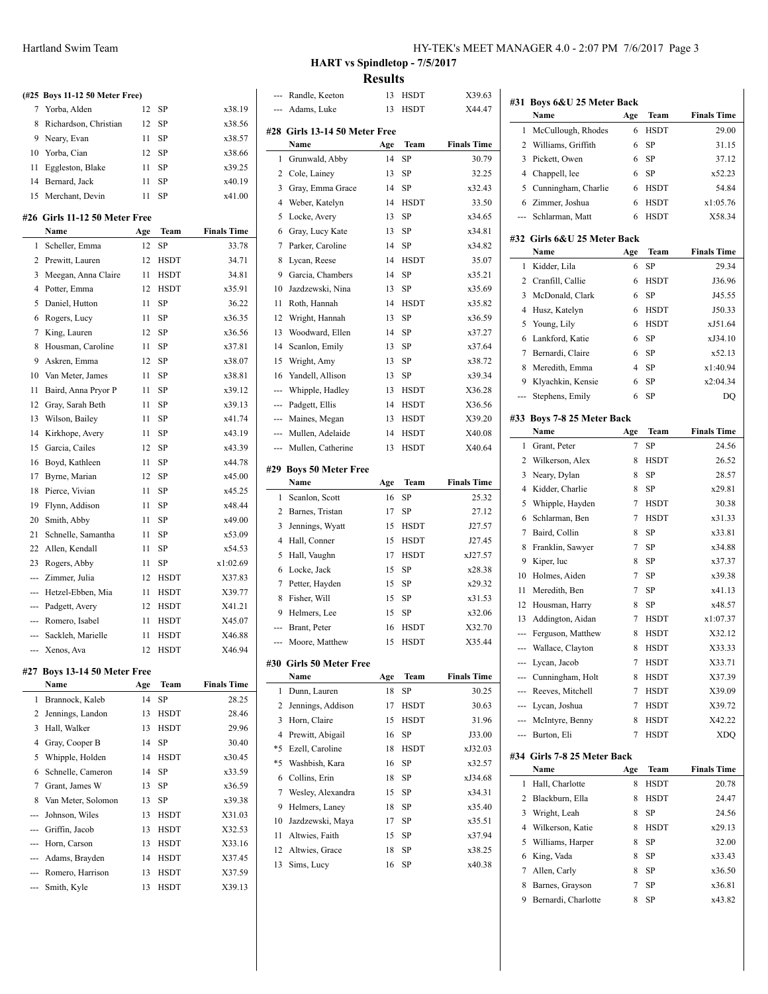|                | (#25 Boys 11-12 50 Meter Free) |     |             |                    |
|----------------|--------------------------------|-----|-------------|--------------------|
| 7              | Yorba, Alden                   | 12  | SP          | x38.19             |
| 8              | Richardson, Christian          | 12  | SP          | x38.56             |
| 9              | Neary, Evan                    | 11  | SP          | x38.57             |
| 10             | Yorba, Cian                    | 12  | <b>SP</b>   | x38.66             |
| 11             | Eggleston, Blake               | 11  | SP          | x39.25             |
| 14             | Bernard, Jack                  | 11  | SP          | x40.19             |
|                | 15 Merchant, Devin             | 11  | SP          | x41.00             |
|                |                                |     |             |                    |
|                | #26 Girls 11-12 50 Meter Free  |     |             |                    |
|                | Name                           | Age | Team        | <b>Finals Time</b> |
| $\mathbf{1}$   | Scheller, Emma                 | 12  | SP          | 33.78              |
| $\overline{c}$ | Prewitt, Lauren                | 12  | <b>HSDT</b> | 34.71              |
| 3              | Meegan, Anna Claire            | 11  | <b>HSDT</b> | 34.81              |
| 4              | Potter, Emma                   | 12  | <b>HSDT</b> | x35.91             |
| 5              | Daniel, Hutton                 | 11  | SP          | 36.22              |
| 6              | Rogers, Lucy                   | 11  | SP          | x36.35             |
| $\overline{7}$ | King, Lauren                   | 12  | SP          | x36.56             |
| 8              | Housman, Caroline              | 11  | SP          | x37.81             |
| 9              | Askren, Emma                   | 12  | SP          | x38.07             |
| 10             | Van Meter, James               | 11  | SP          | x38.81             |
| 11             | Baird, Anna Pryor P            | 11  | SP          | x39.12             |
| 12             | Gray, Sarah Beth               | 11  | <b>SP</b>   | x39.13             |
| 13             | Wilson, Bailey                 | 11  | <b>SP</b>   | x41.74             |
| 14             | Kirkhope, Avery                | 11  | SP          | x43.19             |
| 15             | Garcia, Cailes                 | 12  | SP          | x43.39             |
| 16             | Boyd, Kathleen                 | 11  | SP          | x44.78             |
| 17             | Byrne, Marian                  | 12  | SP          | x45.00             |
| 18             | Pierce, Vivian                 | 11  | <b>SP</b>   | x45.25             |
| 19             | Flynn, Addison                 | 11  | SP          | x48.44             |
| 20             | Smith, Abby                    | 11  | SP          | x49.00             |
| 21             | Schnelle, Samantha             | 11  | SP          | x53.09             |
| 22             | Allen, Kendall                 | 11  | SP          | x54.53             |
| 23             | Rogers, Abby                   | 11  | SP          | x1:02.69           |
|                | Zimmer, Julia                  | 12  | <b>HSDT</b> | X37.83             |
|                | Hetzel-Ebben, Mia              | 11  | <b>HSDT</b> | X39.77             |
| ---            | Padgett, Avery                 | 12  | <b>HSDT</b> | X41.21             |
| $-$            | Romero, Isabel                 | 11  | <b>HSDT</b> | X45.07             |
| $- - -$        | Sackleh, Marielle              | 11  | <b>HSDT</b> | X46.88             |
| ---            | Xenos, Ava                     | 12  | <b>HSDT</b> | X46.94             |
|                | #27 Boys 13-14 50 Meter Free   |     |             |                    |
|                | Name                           | Age | Team        | <b>Finals Time</b> |
| 1              | Brannock, Kaleb                | 14  | SP          | 28.25              |
|                |                                |     |             |                    |

| 1 | Brannock, Kaleb      | 14 | SP          | 28.25  |
|---|----------------------|----|-------------|--------|
|   | 2 Jennings, Landon   | 13 | <b>HSDT</b> | 28.46  |
| 3 | Hall, Walker         | 13 | <b>HSDT</b> | 29.96  |
|   | 4 Gray, Cooper B     | 14 | <b>SP</b>   | 30.40  |
|   | 5 Whipple, Holden    | 14 | <b>HSDT</b> | x30.45 |
|   | 6 Schnelle, Cameron  | 14 | SP          | x33.59 |
|   | 7 Grant, James W     | 13 | SP          | x36.59 |
|   | 8 Van Meter, Solomon | 13 | <b>SP</b>   | x39.38 |
|   | --- Johnson, Wiles   | 13 | <b>HSDT</b> | X31.03 |
|   | --- Griffin, Jacob   | 13 | <b>HSDT</b> | X32.53 |
|   | --- Horn, Carson     | 13 | <b>HSDT</b> | X33.16 |
|   | --- Adams, Brayden   | 14 | <b>HSDT</b> | X37.45 |
|   | --- Romero, Harrison | 13 | <b>HSDT</b> | X37.59 |
|   | --- Smith, Kyle      | 13 | <b>HSDT</b> | X39.13 |

#### HY-TEK's MEET MANAGER 4.0 - 2:07 PM 7/6/2017 Page 3

**HART vs Spindletop - 7/5/2017 Results**

| ---            | Randle, Keeton                | 13  | HSDT        | X39.63             |
|----------------|-------------------------------|-----|-------------|--------------------|
|                | Adams, Luke                   | 13  | <b>HSDT</b> | X44.47             |
|                |                               |     |             |                    |
|                | #28 Girls 13-14 50 Meter Free |     |             |                    |
|                | Name                          | Age | Team        | <b>Finals Time</b> |
| 1              | Grunwald, Abby                | 14  | SP          | 30.79              |
| 2              | Cole, Lainey                  | 13  | SP          | 32.25              |
| 3              | Gray, Emma Grace              | 14  | SP          | x32.43             |
| 4              | Weber, Katelyn                | 14  | HSDT        | 33.50              |
| 5              | Locke, Avery                  | 13  | <b>SP</b>   | x34.65             |
| 6              | Gray, Lucy Kate               | 13  | SP          | x34.81             |
| 7              | Parker, Caroline              | 14  | SP          | x34.82             |
| 8              | Lycan, Reese                  | 14  | <b>HSDT</b> | 35.07              |
| 9              | Garcia, Chambers              | 14  | SP          | x35.21             |
| 10             | Jazdzewski, Nina              | 13  | SP          | x35.69             |
| 11             | Roth, Hannah                  | 14  | <b>HSDT</b> | x35.82             |
| 12             | Wright, Hannah                | 13  | SP          | x36.59             |
| 13             | Woodward, Ellen               | 14  | SP          | x37.27             |
| 14             | Scanlon, Emily                | 13  | SP          | x37.64             |
| 15             | Wright, Amy                   | 13  | SP          | x38.72             |
| 16             | Yandell, Allison              | 13  | SP          | x39.34             |
| ---            | Whipple, Hadley               | 13  | <b>HSDT</b> | X36.28             |
| ---            | Padgett, Ellis                | 14  | <b>HSDT</b> | X36.56             |
| ---            | Maines, Megan                 | 13  | <b>HSDT</b> | X39.20             |
| ---            | Mullen, Adelaide              | 14  | <b>HSDT</b> | X40.08             |
| ---            | Mullen, Catherine             | 13  | <b>HSDT</b> | X40.64             |
|                |                               |     |             |                    |
|                | #29 Boys 50 Meter Free        |     |             |                    |
|                |                               |     |             |                    |
|                | Name                          | Age | Team        | <b>Finals Time</b> |
| 1              | Scanlon, Scott                | 16  | SP          | 25.32              |
| 2              | Barnes, Tristan               | 17  | SP          | 27.12              |
| 3              | Jennings, Wyatt               | 15  | <b>HSDT</b> | J27.57             |
| $\overline{4}$ | Hall, Conner                  | 15  | <b>HSDT</b> | J27.45             |
| 5              | Hall, Vaughn                  | 17  | <b>HSDT</b> | xJ27.57            |
| 6              | Locke, Jack                   | 15  | SP          | x28.38             |
| 7              | Petter, Hayden                | 15  | SP          | x29.32             |
| 8              | Fisher, Will                  | 15  | SP          | x31.53             |
| 9              | Helmers, Lee                  | 15  | SP          | x32.06             |
| ---            | Brant, Peter                  | 16  | <b>HSDT</b> | X32.70             |
| ---            | Moore, Matthew                | 15  | <b>HSDT</b> | X35.44             |
|                |                               |     |             |                    |
|                | #30 Girls 50 Meter Free       |     |             |                    |
|                | <b>Name</b>                   | Age | Team        | <b>Finals Time</b> |
| 1              | Dunn, Lauren                  | 18  | <b>SP</b>   | 30.25              |
| 2              | Jennings, Addison             | 17  | <b>HSDT</b> | 30.63              |
| 3              | Horn, Claire                  | 15  | <b>HSDT</b> | 31.96              |
| $\overline{4}$ | Prewitt, Abigail              | 16  | SP          | J33.00             |
| *5             | Ezell, Caroline               | 18  | <b>HSDT</b> | xJ32.03            |
| *5             | Washbish, Kara                | 16  | SP          | x32.57             |
| 6              | Collins, Erin                 | 18  | SP          | xJ34.68            |
| 7              | Wesley, Alexandra             | 15  | SP          | x34.31             |
| 9              | Helmers, Laney                | 18  | SP          | x35.40             |
| 10             | Jazdzewski, Maya              | 17  | SP          | x35.51             |
| 11             | Altwies, Faith                | 15  | SP          | x37.94             |
| 12             | Altwies, Grace                | 18  | SP          | x38.25             |
| 13             | Sims, Lucy                    | 16  | SP          | x40.38             |

 $\overline{a}$ 

l.

|                                                                                                                                                                                                                                                                                                                                                                                                                                                                            | #31 Boys 6&U 25 Meter Back          |                |              |                             |
|----------------------------------------------------------------------------------------------------------------------------------------------------------------------------------------------------------------------------------------------------------------------------------------------------------------------------------------------------------------------------------------------------------------------------------------------------------------------------|-------------------------------------|----------------|--------------|-----------------------------|
|                                                                                                                                                                                                                                                                                                                                                                                                                                                                            | Name                                | Age            | Team         | <b>Finals Time</b>          |
| 1                                                                                                                                                                                                                                                                                                                                                                                                                                                                          | McCullough, Rhodes                  | 6              | <b>HSDT</b>  | 29.00                       |
| 2                                                                                                                                                                                                                                                                                                                                                                                                                                                                          | Williams, Griffith                  | 6              | SP           | 31.15                       |
| 3                                                                                                                                                                                                                                                                                                                                                                                                                                                                          | Pickett, Owen                       | 6              | <b>SP</b>    | 37.12                       |
| 4                                                                                                                                                                                                                                                                                                                                                                                                                                                                          | Chappell, lee                       | 6              | SP           | x52.23                      |
| 5                                                                                                                                                                                                                                                                                                                                                                                                                                                                          | Cunningham, Charlie                 | 6              | <b>HSDT</b>  | 54.84                       |
| 6                                                                                                                                                                                                                                                                                                                                                                                                                                                                          | Zimmer, Joshua                      | 6              | <b>HSDT</b>  | x1:05.76                    |
| ---                                                                                                                                                                                                                                                                                                                                                                                                                                                                        | Schlarman, Matt                     | 6              | <b>HSDT</b>  | X58.34                      |
|                                                                                                                                                                                                                                                                                                                                                                                                                                                                            |                                     |                |              |                             |
|                                                                                                                                                                                                                                                                                                                                                                                                                                                                            | #32 Girls 6&U 25 Meter Back<br>Name |                |              |                             |
|                                                                                                                                                                                                                                                                                                                                                                                                                                                                            |                                     | Age            | Team         | <b>Finals Time</b>          |
| 1                                                                                                                                                                                                                                                                                                                                                                                                                                                                          | Kidder, Lila                        | 6              | SP           | 29.34                       |
| 2                                                                                                                                                                                                                                                                                                                                                                                                                                                                          | Cranfill, Callie                    | 6              | <b>HSDT</b>  | J36.96                      |
| 3                                                                                                                                                                                                                                                                                                                                                                                                                                                                          | McDonald, Clark                     | 6              | SP           | J45.55                      |
| 4                                                                                                                                                                                                                                                                                                                                                                                                                                                                          | Husz, Katelyn                       | 6              | <b>HSDT</b>  | J50.33                      |
| 5                                                                                                                                                                                                                                                                                                                                                                                                                                                                          | Young, Lily                         | 6              | <b>HSDT</b>  | xJ51.64                     |
| 6                                                                                                                                                                                                                                                                                                                                                                                                                                                                          | Lankford, Katie                     | 6              | SP           | xJ34.10                     |
| 7                                                                                                                                                                                                                                                                                                                                                                                                                                                                          | Bernardi. Claire                    | 6              | SP           | x52.13                      |
| 8                                                                                                                                                                                                                                                                                                                                                                                                                                                                          | Meredith, Emma                      | $\overline{4}$ | SP           | x1:40.94                    |
| 9                                                                                                                                                                                                                                                                                                                                                                                                                                                                          | Klyachkin, Kensie                   | 6              | SP           | x2:04.34                    |
| ---                                                                                                                                                                                                                                                                                                                                                                                                                                                                        | Stephens, Emily                     | 6              | SP           | DQ                          |
|                                                                                                                                                                                                                                                                                                                                                                                                                                                                            | #33 Boys 7-8 25 Meter Back          |                |              |                             |
|                                                                                                                                                                                                                                                                                                                                                                                                                                                                            | Name                                | Age            | Team         | <b>Finals Time</b>          |
| 1                                                                                                                                                                                                                                                                                                                                                                                                                                                                          | Grant, Peter                        | $\overline{7}$ | SP           | 24.56                       |
| 2                                                                                                                                                                                                                                                                                                                                                                                                                                                                          | Wilkerson, Alex                     | 8              | <b>HSDT</b>  | 26.52                       |
| 3                                                                                                                                                                                                                                                                                                                                                                                                                                                                          | Neary, Dylan                        | 8              | SP           | 28.57                       |
| 4                                                                                                                                                                                                                                                                                                                                                                                                                                                                          | Kidder, Charlie                     | 8              | SP           | x29.81                      |
| 5                                                                                                                                                                                                                                                                                                                                                                                                                                                                          | Whipple, Hayden                     | 7              | <b>HSDT</b>  | 30.38                       |
| 6                                                                                                                                                                                                                                                                                                                                                                                                                                                                          | Schlarman, Ben                      | 7              | <b>HSDT</b>  | x31.33                      |
| 7                                                                                                                                                                                                                                                                                                                                                                                                                                                                          | Baird, Collin                       | 8              | SP           | x33.81                      |
| 8                                                                                                                                                                                                                                                                                                                                                                                                                                                                          | Franklin, Sawyer                    | 7              | SP           | x34.88                      |
| 9                                                                                                                                                                                                                                                                                                                                                                                                                                                                          | Kiper, luc                          | 8              | SP           | x37.37                      |
| 10                                                                                                                                                                                                                                                                                                                                                                                                                                                                         | Holmes, Aiden                       | 7              | SP           | x39.38                      |
| 11                                                                                                                                                                                                                                                                                                                                                                                                                                                                         | Meredith, Ben                       | 7              | SP           | x41.13                      |
| 12                                                                                                                                                                                                                                                                                                                                                                                                                                                                         | Housman, Harry                      | 8              | SP           | x48.57                      |
| 13                                                                                                                                                                                                                                                                                                                                                                                                                                                                         | Addington, Aidan                    | 7              | <b>HSDT</b>  | x1:07.37                    |
| ---                                                                                                                                                                                                                                                                                                                                                                                                                                                                        | Ferguson, Matthew                   | 8              | <b>HSDT</b>  | X32.12                      |
|                                                                                                                                                                                                                                                                                                                                                                                                                                                                            | Wallace, Clayton                    | 8              | <b>HSDT</b>  | X33.33                      |
| ---                                                                                                                                                                                                                                                                                                                                                                                                                                                                        | Lycan, Jacob                        | 7              | HSDT         | X33.71                      |
| ---                                                                                                                                                                                                                                                                                                                                                                                                                                                                        | Cunningham, Holt                    | 8              | HSDT         | X37.39                      |
| $\frac{1}{2} \left( \frac{1}{2} \right) \left( \frac{1}{2} \right) \left( \frac{1}{2} \right) \left( \frac{1}{2} \right) \left( \frac{1}{2} \right) \left( \frac{1}{2} \right) \left( \frac{1}{2} \right) \left( \frac{1}{2} \right) \left( \frac{1}{2} \right) \left( \frac{1}{2} \right) \left( \frac{1}{2} \right) \left( \frac{1}{2} \right) \left( \frac{1}{2} \right) \left( \frac{1}{2} \right) \left( \frac{1}{2} \right) \left( \frac{1}{2} \right) \left( \frac$ | Reeves, Mitchell                    | 7              | HSDT         | X39.09                      |
|                                                                                                                                                                                                                                                                                                                                                                                                                                                                            | --- Lycan, Joshua                   | 7              | HSDT         | X39.72                      |
|                                                                                                                                                                                                                                                                                                                                                                                                                                                                            | --- McIntyre, Benny                 | 8              | <b>HSDT</b>  | X42.22                      |
|                                                                                                                                                                                                                                                                                                                                                                                                                                                                            | --- Burton, Eli                     | 7              | <b>HSDT</b>  | XDQ                         |
|                                                                                                                                                                                                                                                                                                                                                                                                                                                                            |                                     |                |              |                             |
|                                                                                                                                                                                                                                                                                                                                                                                                                                                                            | #34 Girls 7-8 25 Meter Back<br>Name |                |              |                             |
| 1                                                                                                                                                                                                                                                                                                                                                                                                                                                                          |                                     | Age<br>8       | Team<br>HSDT | <b>Finals Time</b><br>20.78 |
|                                                                                                                                                                                                                                                                                                                                                                                                                                                                            | Hall, Charlotte                     | 8              |              |                             |
| 2                                                                                                                                                                                                                                                                                                                                                                                                                                                                          | Blackburn, Ella                     |                | HSDT         | 24.47                       |
| 3                                                                                                                                                                                                                                                                                                                                                                                                                                                                          | Wright, Leah                        | 8              | SP           | 24.56                       |
| 4                                                                                                                                                                                                                                                                                                                                                                                                                                                                          | Wilkerson, Katie                    | 8              | HSDT         | x29.13                      |
| 5                                                                                                                                                                                                                                                                                                                                                                                                                                                                          | Williams, Harper                    | 8              | SP           | 32.00                       |
| 6                                                                                                                                                                                                                                                                                                                                                                                                                                                                          | King, Vada                          | 8              | SP           | x33.43                      |
| 7                                                                                                                                                                                                                                                                                                                                                                                                                                                                          | Allen, Carly                        | 8              | SP           | x36.50                      |
| 8                                                                                                                                                                                                                                                                                                                                                                                                                                                                          | Barnes, Grayson                     | 7              | SP           | x36.81                      |
| 9                                                                                                                                                                                                                                                                                                                                                                                                                                                                          | Bernardi, Charlotte                 | 8              | SP           | x43.82                      |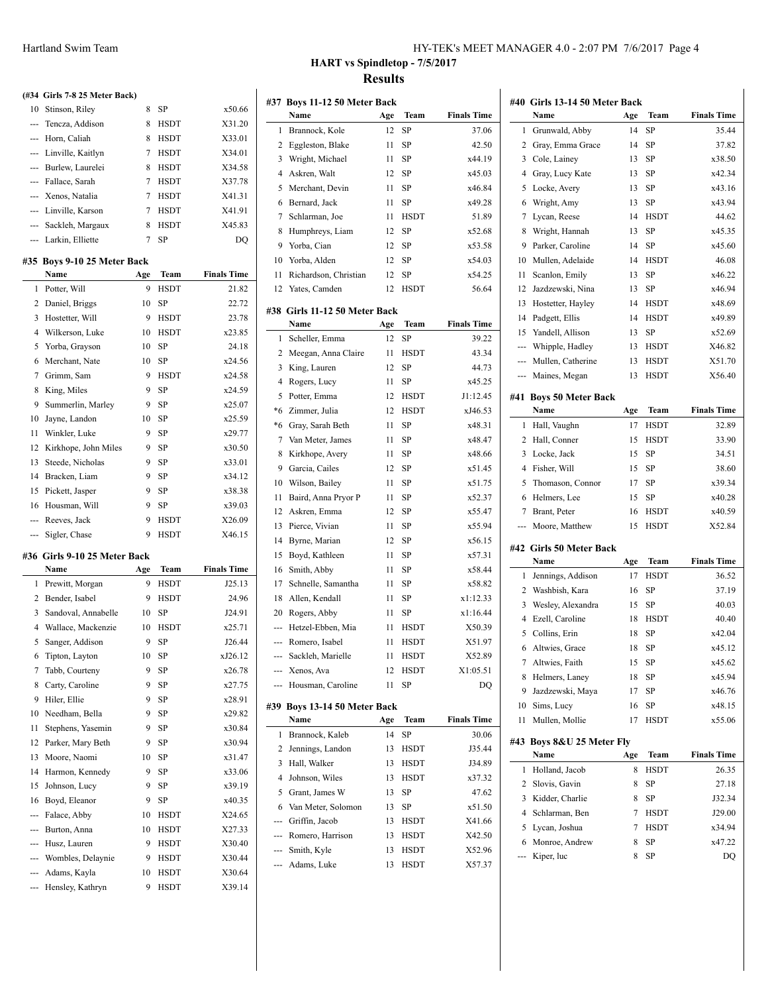|     | (#34 Girls 7-8 25 Meter Back) |     |             |                    |
|-----|-------------------------------|-----|-------------|--------------------|
| 10  | Stinson, Riley                | 8   | SP          | x50.66             |
| --- | Tencza, Addison               | 8   | <b>HSDT</b> | X31.20             |
|     | --- Horn, Caliah              | 8   | HSDT        | X33.01             |
|     | --- Linville, Kaitlyn         | 7   | <b>HSDT</b> | X34.01             |
| --- | Burlew, Laurelei              | 8   | <b>HSDT</b> | X34.58             |
|     | --- Fallace, Sarah            | 7   | <b>HSDT</b> | X37.78             |
| --- | Xenos, Natalia                | 7   | <b>HSDT</b> | X41.31             |
| --- | Linville, Karson              | 7   | HSDT        | X41.91             |
|     | --- Sackleh, Margaux          | 8   | <b>HSDT</b> | X45.83             |
| --- | Larkin, Elliette              | 7   | SP          | DQ                 |
|     | #35 Boys 9-10 25 Meter Back   |     |             |                    |
|     | Name                          | Age | Team        | <b>Finals Time</b> |
| 1   | Potter, Will                  | 9   | <b>HSDT</b> | 21.82              |
| 2   | Daniel, Briggs                | 10  | SP          | 22.72              |
| 3   | Hostetter, Will               | 9   | <b>HSDT</b> | 23.78              |
| 4   | Wilkerson, Luke               | 10  | HSDT        | x23.85             |
| 5   | Yorba, Grayson                | 10  | SP          | 24.18              |
| 6   | Merchant, Nate                | 10  | <b>SP</b>   | x24.56             |
| 7   | Grimm, Sam                    | 9   | <b>HSDT</b> | x24.58             |
| 8   | King, Miles                   | 9   | <b>SP</b>   | x24.59             |
| 9   | Summerlin, Marley             | 9   | SP          | x25.07             |
| 10  | Jayne, Landon                 | 10  | <b>SP</b>   | x25.59             |
| 11  | Winkler, Luke                 | 9   | SP          | x29.77             |
| 12  | Kirkhope, John Miles          | 9   | SP          | x30.50             |
| 13  | Steede, Nicholas              | 9   | SP          | x33.01             |
| 14  | Bracken, Liam                 | 9   | SP          | x34.12             |
| 15  | Pickett, Jasper               | 9   | SP          | x38.38             |
| 16  | Housman, Will                 | 9   | SP          | x39.03             |
| --- | Reeves, Jack                  | 9   | <b>HSDT</b> | X26.09             |
| --- | Sigler, Chase                 | 9   | <b>HSDT</b> | X46.15             |
|     | $\sim$ $\sim$                 |     |             |                    |

#### **#36 Girls 9-10 25 Meter Back**

|              | Name                | Age | Team        | <b>Finals Time</b> |
|--------------|---------------------|-----|-------------|--------------------|
| $\mathbf{1}$ | Prewitt, Morgan     | 9   | <b>HSDT</b> | J25.13             |
| 2            | Bender, Isabel      | 9   | <b>HSDT</b> | 24.96              |
| 3            | Sandoval, Annabelle | 10  | SP          | J24.91             |
| 4            | Wallace, Mackenzie  | 10  | <b>HSDT</b> | x25.71             |
| 5            | Sanger, Addison     | 9   | <b>SP</b>   | J26.44             |
| 6            | Tipton, Layton      | 10  | <b>SP</b>   | xJ26.12            |
| 7            | Tabb, Courteny      | 9   | SP          | x26.78             |
| 8            | Carty, Caroline     | 9   | SP          | x27.75             |
| 9            | Hiler, Ellie        | 9   | SP          | x28.91             |
| 10           | Needham, Bella      | 9   | SP          | x29.82             |
| 11           | Stephens, Yasemin   | 9   | SP          | x30.84             |
| 12           | Parker, Mary Beth   | 9   | <b>SP</b>   | x30.94             |
| 13           | Moore, Naomi        | 10  | SP          | x31.47             |
| 14           | Harmon, Kennedy     | 9   | <b>SP</b>   | x33.06             |
| 15           | Johnson, Lucy       | 9   | SP          | x39.19             |
| 16           | Boyd, Eleanor       | 9   | SP          | x40.35             |
| $- - -$      | Falace, Abby        | 10  | <b>HSDT</b> | X24.65             |
| ---          | Burton, Anna        | 10  | <b>HSDT</b> | X27.33             |
| ---          | Husz, Lauren        | 9   | <b>HSDT</b> | X30.40             |
| ---          | Wombles, Delaynie   | 9   | <b>HSDT</b> | X30.44             |
|              | Adams, Kayla        | 10  | <b>HSDT</b> | X30.64             |
| ---          | Hensley, Kathryn    | 9   | <b>HSDT</b> | X39.14             |

## **Name Age Team** 1 Brannock, Kole 12 SP 2 Eggleston, Blake 11 SP 3 Wright, Michael 11 SP 4 Askren, Walt 12 SP 5 Merchant, Devin 11 SP 6 Bernard, Jack 11 SP 7 Schlarman, Joe 11 HSDT 8 Humphreys, Liam 12 SP 9 Yorba, Cian 12 SP 10 Yorba, Alden 12 SP 11 Richardson, Christian 12 SP 12 Yates, Camden 12 HSDT **#38 Girls 11-12 50 Meter Back Name Age Team** 1 Scheller, Emma 12 SP 2 Meegan, Anna Claire 11 HSDT 3 King, Lauren 12 SP 4 Rogers, Lucy 11 SP 5 Potter, Emma 12 HSDT \*6 Zimmer, Julia 12 HSDT \*6 Gray, Sarah Beth 11 SP 7 Van Meter, James 11 SP 8 Kirkhope, Avery 11 SP 9 Garcia, Cailes 12 SP 10 Wilson, Bailey 11 SP 11 Baird, Anna Pryor P 11 SP 12 Askren, Emma 12 SP 13 Pierce, Vivian 11 SP 14 Byrne, Marian 12 SP 15 Boyd, Kathleen 11 SP 16 Smith, Abby 11 SP 17 Schnelle, Samantha 11 SP 18 Allen, Kendall 11 SP 20 Rogers, Abby 11 SP --- Hetzel-Ebben, Mia 11 HSDT --- Romero, Isabel 11 HSDT Sackleh, Marielle 11 HSDT --- Xenos, Ava 12 HSDT --- Housman, Caroline 11 SP **#39 Boys 13-14 50 Meter Back Name Age Team** 1 Brannock, Kaleb 14 SP 2 Jennings, Landon 13 HSDT 3 Hall, Walker 13 HSDT 4 Johnson, Wiles 13 HSDT 5 Grant, James W 13 SP 6 Van Meter, Solomon 13 SP --- Griffin, Jacob 13 HSDT --- Romero, Harrison 13 HSDT --- Smith, Kyle 13 HSDT --- Adams, Luke 13 HSDT

37.82 x38.50 x42.34 x43.16 x43.94

x45.35  $x45.60$ 

x46.22 x46.94 x48.69 x49.89  $x52.69$ X46.82 X51.70  $X56.40$ 

x39.34 x40.28 x40.59 X52.84

x42.04 x45.12 x45.62 x45.94 x46.76 x48.15 x55.06

J32.34  $J29.00$ x34.94 x47.22

### **HART vs Spindletop - 7/5/2017 Results**

**#37 Boys 11-12 50 Meter Back**

| <b>Finals Time</b> |                | #40 Girls 13-14 50 Meter Back<br>Name |           |                     |                             |
|--------------------|----------------|---------------------------------------|-----------|---------------------|-----------------------------|
| 37.06              | 1              | Grunwald, Abby                        | Age<br>14 | Team<br>SP          | <b>Finals Time</b><br>35.44 |
| 42.50              |                | 2 Gray, Emma Grace                    | 14        |                     | 37.82                       |
|                    |                |                                       |           | SP                  | x38.50                      |
| x44.19             |                | 3 Cole, Lainey                        | 13        | SP                  |                             |
| x45.03             |                | 4 Gray, Lucy Kate                     | 13        | SP                  | x42.34                      |
| x46.84             | 5              | Locke, Avery                          | 13        | SP                  | x43.16                      |
| x49.28             |                | 6 Wright, Amy                         | 13        | SP                  | x43.94                      |
| 51.89              | 7              | Lycan, Reese                          | 14        | <b>HSDT</b>         | 44.62                       |
| x52.68             | 8              | Wright, Hannah                        | 13        | SP                  | x45.35                      |
| x53.58             |                | 9 Parker, Caroline                    | 14        | SP                  | x45.60                      |
| x54.03             |                | 10 Mullen, Adelaide                   | 14        | <b>HSDT</b>         | 46.08                       |
| x54.25             | 11             | Scanlon, Emily                        | 13        | SP                  | x46.22                      |
| 56.64              | 12             | Jazdzewski, Nina                      | 13        | SP                  | x46.94                      |
|                    |                | 13 Hostetter, Hayley                  | 14        | <b>HSDT</b>         | x48.69                      |
| <b>Finals Time</b> |                | 14 Padgett, Ellis                     | 14        | <b>HSDT</b>         | x49.89                      |
| 39.22              |                | 15 Yandell, Allison                   | 13        | SP                  | x52.69                      |
| 43.34              |                | --- Whipple, Hadley                   | 13        | HSDT                | X46.82                      |
| 44.73              |                | --- Mullen, Catherine                 | 13        | <b>HSDT</b>         | X51.70                      |
| x45.25             |                | --- Maines, Megan                     | 13        | HSDT                | X56.40                      |
| J1:12.45           |                | #41 Boys 50 Meter Back                |           |                     |                             |
| xJ46.53            |                | Name                                  | Age       | Team                | <b>Finals Time</b>          |
| x48.31             |                | 1 Hall, Vaughn                        | 17        | <b>HSDT</b>         | 32.89                       |
| x48.47             |                | 2 Hall, Conner                        | 15        | <b>HSDT</b>         | 33.90                       |
| x48.66             |                | 3 Locke, Jack                         | 15        | SP                  | 34.51                       |
| x51.45             |                | 4 Fisher, Will                        | 15        | SP                  | 38.60                       |
| x51.75             | 5              | Thomason, Connor                      | 17        | SP                  | x39.34                      |
| x52.37             |                | 6 Helmers, Lee                        | 15        | SP                  | x40.28                      |
| x55.47             | 7              | Brant, Peter                          | 16        | <b>HSDT</b>         | x40.59                      |
| x55.94             | ---            | Moore, Matthew                        | 15        | HSDT                | X52.84                      |
| x56.15             |                |                                       |           |                     |                             |
| x57.31             |                | #42 Girls 50 Meter Back               |           |                     | <b>Finals Time</b>          |
| x58.44             |                | Name<br>1 Jennings, Addison           | Age       | Team<br><b>HSDT</b> |                             |
| x58.82             |                |                                       | 17        |                     | 36.52                       |
| x1:12.33           |                |                                       |           |                     |                             |
|                    |                | 2 Washbish, Kara                      | 16        | SP                  | 37.19                       |
| x1:16.44           |                | 3 Wesley, Alexandra                   | 15        | SP                  | 40.03                       |
| X50.39             |                | 4 Ezell, Caroline                     | 18        | <b>HSDT</b>         | 40.40                       |
| X51.97             |                | 5 Collins, Erin                       | 18        | SP                  | x42.04                      |
| X52.89             | 6              | Altwies, Grace                        | 18        | SP                  | x45.12                      |
| X1:05.51           | 7              | Altwies, Faith                        | 15        | SP                  | x45.62                      |
| DQ                 | 8              | Helmers, Laney                        | 18        | SP                  | x45.94                      |
|                    | 9              | Jazdzewski, Maya                      | 17        | SP                  | x46.76                      |
|                    | 10             | Sims, Lucy                            | 16        | SP                  | x48.15                      |
| <b>Finals Time</b> | 11             | Mullen, Mollie                        | 17        | HSDT                | x55.06                      |
| 30.06              |                | #43 Boys 8&U 25 Meter Fly             |           |                     |                             |
| J35.44             |                | Name                                  | Age       | Team                | <b>Finals Time</b>          |
| J34.89             | 1              | Holland, Jacob                        | 8         | <b>HSDT</b>         | 26.35                       |
| x37.32             | $\mathbf{2}$   | Slovis, Gavin                         | 8         | SP                  | 27.18                       |
| 47.62              |                | 3 Kidder, Charlie                     | 8         | SP                  | J32.34                      |
| x51.50             | $\overline{4}$ | Schlarman, Ben                        | 7         | HSDT                | J29.00                      |
| X41.66             | 5              | Lycan, Joshua                         | 7         | <b>HSDT</b>         | x34.94                      |
| X42.50             | 6              | Monroe, Andrew                        | 8         | SP                  | x47.22                      |
| X52.96<br>X57.37   |                | Kiper, luc                            | 8         | SP                  | DQ                          |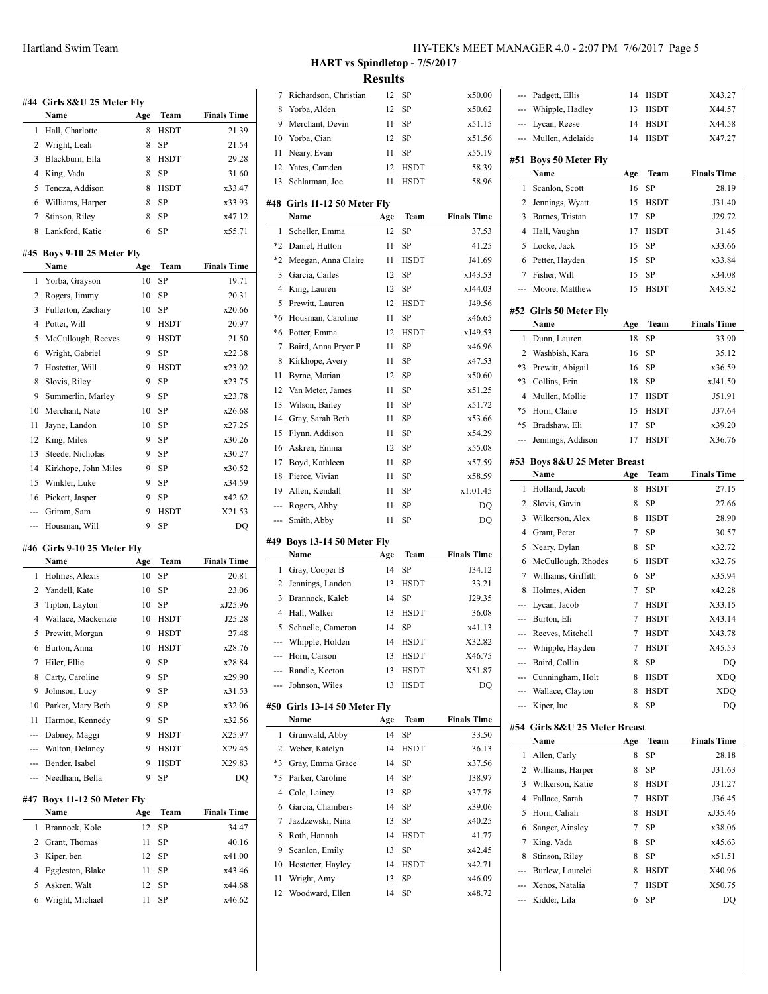|                          | #44  Girls 8&U 25 Meter Fly<br>Name |          | Team        | <b>Finals Time</b> |
|--------------------------|-------------------------------------|----------|-------------|--------------------|
| 1                        | Hall, Charlotte                     | Age<br>8 | <b>HSDT</b> | 21.39              |
| 2                        | Wright, Leah                        | 8        | SP          | 21.54              |
| 3                        | Blackburn, Ella                     | 8        | <b>HSDT</b> | 29.28              |
| 4                        | King, Vada                          | 8        | <b>SP</b>   | 31.60              |
| 5                        | Tencza, Addison                     | 8        | <b>HSDT</b> | x33.47             |
| 6                        | Williams, Harper                    | 8        | <b>SP</b>   | x33.93             |
| 7                        | Stinson, Riley                      | 8        | SP          | x47.12             |
| 8                        | Lankford, Katie                     | 6        | <b>SP</b>   | x55.71             |
|                          |                                     |          |             |                    |
| #45                      | Boys 9-10 25 Meter Fly              |          |             |                    |
|                          | Name                                | Age      | Team        | <b>Finals Time</b> |
| 1                        | Yorba, Grayson                      | 10       | SP          | 19.71              |
| 2                        | Rogers, Jimmy                       | 10       | SP          | 20.31              |
| 3                        | Fullerton, Zachary                  | 10       | SP          | x20.66             |
| 4                        | Potter, Will                        | 9        | <b>HSDT</b> | 20.97              |
| 5                        | McCullough, Reeves                  | 9        | <b>HSDT</b> | 21.50              |
| 6                        | Wright, Gabriel                     | 9        | <b>SP</b>   | x22.38             |
| 7                        | Hostetter, Will                     | 9        | <b>HSDT</b> | x23.02             |
| 8                        | Slovis, Riley                       | 9        | <b>SP</b>   | x23.75             |
| 9                        | Summerlin, Marley                   | 9        | SP          | x23.78             |
| 10                       | Merchant, Nate                      | 10       | SP          | x26.68             |
| 11                       | Jayne, Landon                       | 10       | SP          | x27.25             |
| 12                       | King, Miles                         | 9        | SP          | x30.26             |
| 13                       | Steede, Nicholas                    | 9        | SP          | x30.27             |
| 14                       | Kirkhope, John Miles                | 9        | SP          | x30.52             |
| 15                       | Winkler, Luke                       | 9        | SP          | x34.59             |
| 16                       | Pickett, Jasper                     | 9        | SP          | x42.62             |
| ---                      | Grimm, Sam                          | 9        | <b>HSDT</b> | X21.53             |
| ---                      | Housman, Will                       | 9        | SP          | DQ                 |
|                          | #46 Girls 9-10 25 Meter Fly         |          |             |                    |
|                          | Name                                | Age      | Team        | <b>Finals Time</b> |
| 1                        | Holmes, Alexis                      | 10       | SP          | 20.81              |
| 2                        | Yandell, Kate                       | 10       | SP          | 23.06              |
| 3                        | Tipton, Layton                      | 10       | SP          | xJ25.96            |
| 4                        | Wallace, Mackenzie                  | 10       | <b>HSDT</b> | J25.28             |
| 5                        | Prewitt, Morgan                     | 9        | <b>HSDT</b> | 27.48              |
| 6                        | Burton, Anna                        | 10       | <b>HSDT</b> | x28.76             |
| 7                        | Hiler, Ellie                        | 9        | SP          | x28.84             |
| 8                        | Carty, Caroline                     | 9        | SP          | x29.90             |
| 9                        | Johnson, Lucy                       | 9        | SP          | x31.53             |
| 10                       | Parker, Mary Beth                   | 9        | SP          | x32.06             |
| 11                       | Harmon, Kennedy                     | 9        | SP          | x32.56             |
| ---                      | Dabney, Maggi                       | 9        | HSDT        | X25.97             |
| ---                      | Walton, Delaney                     | 9        | HSDT        | X29.45             |
| $\overline{\phantom{a}}$ | Bender, Isabel                      | 9        | <b>HSDT</b> | X29.83             |
| ---                      | Needham, Bella                      | 9        | SP          | DQ                 |
|                          |                                     |          |             |                    |
| #47                      | Boys 11-12 50 Meter Fly             |          |             |                    |
|                          | Name                                | Age      | Team        | <b>Finals Time</b> |
| 1                        | Brannock, Kole                      | 12       | SP          | 34.47              |
| $\overline{c}$           | Grant, Thomas                       | 11       | SP          | 40.16              |
| 3                        | Kiper, ben                          | 12       | SP          | x41.00             |
| 4                        | Eggleston, Blake                    | 11<br>12 | SP<br>SP    | x43.46<br>x44.68   |
| 5                        | Askren, Walt                        |          |             |                    |

Wright, Michael 11 SP x46.62

# **HART vs Spindletop - 7/5/2017 Results**

| 7        | Richardson, Christian                    | 12        | SP                  | x50.00             |
|----------|------------------------------------------|-----------|---------------------|--------------------|
| 8        | Yorba, Alden                             | 12        | SP                  | x50.62             |
| 9        | Merchant, Devin                          | 11        | SP                  | x51.15             |
| 10       | Yorba, Cian                              | 12        | SP                  | x51.56             |
| 11       | Neary, Evan                              | 11        | SP                  | x55.19             |
| 12       | Yates, Camden                            | 12        | HSDT                | 58.39              |
| 13       | Schlarman, Joe                           | 11        | <b>HSDT</b>         | 58.96              |
|          | #48 Girls 11-12 50 Meter Fly<br>Name     | Age       | Team                | <b>Finals Time</b> |
| 1        | Scheller, Emma                           | 12        | SP                  | 37.53              |
| *2       | Daniel, Hutton                           | 11        | SP                  | 41.25              |
| $*2$     | Meegan, Anna Claire                      | 11        | <b>HSDT</b>         | J41.69             |
| 3        | Garcia, Cailes                           | 12        | SP                  | xJ43.53            |
| 4        | King, Lauren                             | 12        | SP                  | xJ44.03            |
| 5        | Prewitt, Lauren                          | 12        | HSDT                | J49.56             |
| *6       | Housman, Caroline                        | 11        | SP                  | x46.65             |
| *6       | Potter, Emma                             | 12        | <b>HSDT</b>         | xJ49.53            |
| 7        | Baird, Anna Pryor P                      | 11        | SP                  | x46.96             |
| 8        | Kirkhope, Avery                          | 11        | SP                  | x47.53             |
| 11       | Byrne, Marian                            | 12        | SP                  | x50.60             |
| 12       | Van Meter, James                         | 11        | SP                  | x51.25             |
| 13       | Wilson, Bailey                           | 11        | SP                  | x51.72             |
| 14       | Gray, Sarah Beth                         | 11        | SP                  | x53.66             |
| 15       | Flynn, Addison                           | 11        | SP                  | x54.29             |
| 16       | Askren, Emma                             | 12        | SP                  | x55.08             |
| 17       | Boyd, Kathleen                           | 11        | SP                  | x57.59             |
| 18       | Pierce, Vivian                           | 11        | SP                  | x58.59             |
| 19       | Allen, Kendall                           | 11        | SP                  | x1:01.45           |
|          |                                          |           |                     |                    |
|          |                                          |           |                     |                    |
| ---      | Rogers, Abby<br>--- Smith, Abby          | 11<br>11  | SP<br>SP            | DQ                 |
|          |                                          |           |                     | DQ                 |
|          | #49 Boys 13-14 50 Meter Fly              |           |                     |                    |
|          | Name                                     | Age       | Team                | <b>Finals Time</b> |
| 1        | Gray, Cooper B                           | 14        | SP                  | J34.12             |
| 2        | Jennings, Landon                         | 13        | <b>HSDT</b>         | 33.21              |
| 3        | Brannock, Kaleb                          | 14        | SP                  | J29.35             |
| 4        | Hall, Walker                             | 13        | <b>HSDT</b>         | 36.08              |
| 5        | Schnelle, Cameron                        | 14        | SP                  | x41.13             |
| ---      | Whipple, Holden                          | 14        | HSDT                | X32.82             |
| ---      | Horn, Carson                             | 13        | <b>HSDT</b>         | X46.75             |
|          | --- Randle, Keeton<br>--- Johnson, Wiles | 13<br>13  | HSDT<br><b>HSDT</b> | X51.87<br>DQ       |
|          |                                          |           |                     |                    |
|          | #50 Girls 13-14 50 Meter Fly             |           |                     | <b>Finals Time</b> |
| 1        | Name                                     | Age<br>14 | Team<br>SP          | 33.50              |
| 2        | Grunwald, Abby                           | 14        |                     |                    |
|          | Weber, Katelyn                           |           | HSDT                | 36.13<br>x37.56    |
| *3<br>*3 | Gray, Emma Grace<br>Parker, Caroline     | 14<br>14  | SP                  |                    |
| 4        | Cole, Lainey                             | 13        | SP<br>SP            | J38.97<br>x37.78   |
|          |                                          |           |                     | x39.06             |
| 6<br>7   | Garcia, Chambers<br>Jazdzewski, Nina     | 14<br>13  | SP<br>SP            | x40.25             |
| 8        | Roth, Hannah                             | 14        | HSDT                | 41.77              |
| 9        | Scanlon, Emily                           | 13        | SP                  | x42.45             |
| 10       | Hostetter, Hayley                        | 14        | HSDT                | x42.71             |
| 11       | Wright, Amy                              | 13        | SP                  | x46.09             |
| 12       | Woodward, Ellen                          | 14        | SP                  | x48.72             |

| ---  | Padgett, Ellis                | 14  | <b>HSDT</b> | X43.27             |
|------|-------------------------------|-----|-------------|--------------------|
| ---  | Whipple, Hadley               | 13  | HSDT        | X44.57             |
| ---  | Lycan, Reese                  | 14  | <b>HSDT</b> | X44.58             |
|      | --- Mullen, Adelaide          | 14  | <b>HSDT</b> | X47.27             |
|      | #51 Boys 50 Meter Fly         |     |             |                    |
|      | Name                          | Age | Team        | <b>Finals Time</b> |
| 1    | Scanlon, Scott                | 16  | SP          | 28.19              |
| 2    | Jennings, Wyatt               | 15  | HSDT        | J31.40             |
| 3    | Barnes, Tristan               | 17  | SP          | J29.72             |
| 4    | Hall, Vaughn                  | 17  | <b>HSDT</b> | 31.45              |
| 5    | Locke, Jack                   | 15  | SP          | x33.66             |
| 6    | Petter, Hayden                | 15  | SP          | x33.84             |
| 7    | Fisher, Will                  | 15  | SP          | x34.08             |
| ---  | Moore, Matthew                | 15  | HSDT        | X45.82             |
|      | #52 Girls 50 Meter Fly        |     |             |                    |
|      | Name                          | Age | Team        | <b>Finals Time</b> |
| 1    | Dunn, Lauren                  | 18  | SP          | 33.90              |
| 2    | Washbish, Kara                | 16  | SP          | 35.12              |
| *3   | Prewitt, Abigail              | 16  | SP          | x36.59             |
| $*3$ | Collins, Erin                 | 18  | SP          | xJ41.50            |
| 4    | Mullen, Mollie                | 17  | <b>HSDT</b> | J51.91             |
| *5   | Horn, Claire                  | 15  | <b>HSDT</b> | J37.64             |
| *5   | Bradshaw, Eli                 | 17  | SP          | x39.20             |
| ---  | Jennings, Addison             | 17  | <b>HSDT</b> | X36.76             |
|      | #53 Boys 8&U 25 Meter Breast  |     |             |                    |
|      | Name                          | Age | Team        | <b>Finals Time</b> |
| 1    | Holland, Jacob                | 8   | <b>HSDT</b> | 27.15              |
| 2    | Slovis, Gavin                 | 8   | SP          | 27.66              |
| 3    | Wilkerson, Alex               | 8   | <b>HSDT</b> | 28.90              |
| 4    | Grant, Peter                  | 7   | SP          | 30.57              |
| 5    | Neary, Dylan                  | 8   | SP          | x32.72             |
| 6    | McCullough, Rhodes            | 6   | <b>HSDT</b> | x32.76             |
| 7    | Williams, Griffith            | 6   | SP          | x35.94             |
| 8    | Holmes, Aiden                 | 7   | SP          | x42.28             |
| ---  | Lycan, Jacob                  | 7   | <b>HSDT</b> | X33.15             |
|      | --- Burton, Eli               | 7   | HSDT        | X43.14             |
|      | --- Reeves, Mitchell          | 7   | <b>HSDT</b> | X43.78             |
|      | Whipple, Hayden               | 7   | <b>HSDT</b> | X45.53             |
| $-$  | Baird, Collin                 | 8   | SP          | DQ                 |
|      | --- Cunningham, Holt          | 8   | HSDT        | <b>XDO</b>         |
|      | --- Wallace, Clayton          | 8   | HSDT        | <b>XDQ</b>         |
|      | --- Kiper, luc                | 8   | SP          | DO                 |
|      | #54 Girls 8&U 25 Meter Breast |     |             |                    |
|      | Name                          | Age | Team        | <b>Finals Time</b> |
| 1    | Allen, Carly                  | 8   | SP          | 28.18              |
| 2    | Williams, Harper              | 8   | SP          | J31.63             |
| 3    | Wilkerson, Katie              | 8   | HSDT        | J31.27             |
| 4    | Fallace, Sarah                | 7   | HSDT        | J36.45             |
| 5    | Horn, Caliah                  | 8   | <b>HSDT</b> | xJ35.46            |
| 6    | Sanger, Ainsley               | 7   | SP          | x38.06             |
| 7    | King, Vada                    | 8   | SP          | x45.63             |
| 8    | Stinson, Riley                | 8   | SP          | x51.51             |
| ---  | Burlew, Laurelei              | 8   | HSDT        | X40.96             |
| ---  | Xenos, Natalia                | 7   | HSDT        | X50.75             |
| ---  | Kidder, Lila                  | 6   | SP          | DQ                 |
|      |                               |     |             |                    |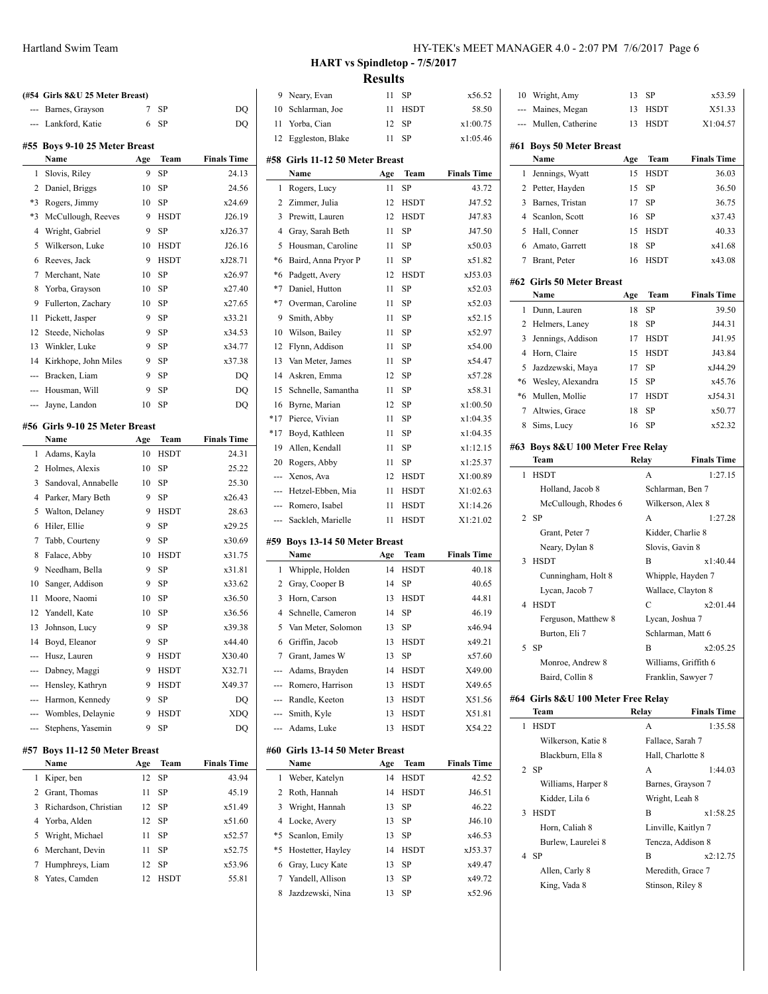|                | (#54 Girls 8&U 25 Meter Breast)       |     |             |                    | 9              |
|----------------|---------------------------------------|-----|-------------|--------------------|----------------|
|                | Barnes, Grayson                       | 7   | SP          | DQ                 | 10             |
| $\overline{a}$ | Lankford, Katie                       | 6   | SP          | DQ                 | 11             |
|                |                                       |     |             |                    | 12             |
|                | #55 Boys 9-10 25 Meter Breast<br>Name | Age | Team        | <b>Finals Time</b> | #58            |
| 1              | Slovis, Riley                         | 9   | SP          | 24.13              |                |
| 2              | Daniel, Briggs                        | 10  | SP          | 24.56              | 1              |
| $*3$           | Rogers, Jimmy                         | 10  | SP          | x24.69             | $\overline{c}$ |
| $*3$           | McCullough, Reeves                    | 9   | <b>HSDT</b> | J26.19             | 3              |
| 4              | Wright, Gabriel                       | 9   | SP          | xJ26.37            | $\overline{4}$ |
| 5              | Wilkerson, Luke                       | 10  | <b>HSDT</b> | J26.16             | 5              |
| 6              | Reeves, Jack                          | 9   | <b>HSDT</b> | xJ28.71            | $*6$           |
| 7              | Merchant, Nate                        | 10  | SP          | x26.97             | *6             |
| 8              | Yorba, Grayson                        | 10  | SP          | x27.40             | $*7$           |
| 9              | Fullerton, Zachary                    | 10  | SP          | x27.65             | $*7$           |
| 11             | Pickett, Jasper                       | 9   | SP          | x33.21             | 9              |
| 12             | Steede, Nicholas                      | 9   | SP          | x34.53             | 10             |
| 13             | Winkler, Luke                         | 9   | SP          | x34.77             | 12             |
| 14             | Kirkhope, John Miles                  | 9   | SP          | x37.38             | 13             |
| ---            | Bracken, Liam                         | 9   | SP          | DQ                 | 14             |
| <u>.</u>       | Housman, Will                         | 9   | SP          | DQ                 | 15             |
| $\overline{a}$ | Jayne, Landon                         | 10  | SP          | DQ                 | 16             |
|                |                                       |     |             |                    | $*17$          |
|                | #56 Girls 9-10 25 Meter Breast        |     |             |                    | $*17$          |
|                | Name                                  | Age | Team        | <b>Finals Time</b> | 19             |
| 1              | Adams, Kayla                          | 10  | HSDT        | 24.31              | 20             |
| 2              | Holmes, Alexis                        | 10  | SP          | 25.22              |                |
| 3              | Sandoval, Annabelle                   | 10  | SP          | 25.30              | ---            |
| 4              | Parker, Mary Beth                     | 9   | SP          | x26.43             |                |
| 5              | Walton, Delaney                       | 9   | <b>HSDT</b> | 28.63              |                |
| 6              | Hiler, Ellie                          | 9   | <b>SP</b>   | x29.25             |                |
| 7              | Tabb, Courteny                        | 9   | SP          | x30.69             | #59            |
| 8              | Falace, Abby                          | 10  | <b>HSDT</b> | x31.75             |                |
| 9              | Needham, Bella                        | 9   | SP          | x31.81             | 1              |
| 10             | Sanger, Addison                       | 9   | SP          | x33.62             | $\overline{c}$ |
| 11             | Moore, Naomi                          | 10  | SP          | x36.50             | 3              |
| 12             | Yandell, Kate                         | 10  | SP          | x36.56             | 4              |
| 13             | Johnson, Lucy                         | 9   | SP          | x39.38             | 5              |
| 14             | Boyd, Eleanor                         | 9   | SP          | x44.40             | 6              |
|                | --- Husz, Lauren                      | 9   | HSDT        | X30.40             | 7              |
|                | Dabney, Maggi                         | 9   | HSDT        | X32.71             |                |
|                | --- Hensley, Kathryn                  | 9   | <b>HSDT</b> | X49.37             |                |
|                | --- Harmon, Kennedy                   | 9   | SP          | DQ<br><b>XDO</b>   |                |
|                | Wombles, Delaynie                     | 9   | HSDT        |                    |                |
| $\overline{a}$ | Stephens, Yasemin                     | 9   | SP          | DQ                 |                |
| #57            | <b>Boys 11-12 50 Meter Breast</b>     |     |             |                    | #60            |
|                | Name                                  | Age | Team        | <b>Finals Time</b> |                |
| 1              | Kiper, ben                            | 12  | SP          | 43.94              | 1              |
| 2              | Grant, Thomas                         | 11  | SP          | 45.19              | 2              |
| 3              | Richardson, Christian                 | 12  | SP          | x51.49             | 3              |
| 4              | Yorba, Alden                          | 12  | SP          | x51.60             | $\overline{4}$ |
| 5              | Wright, Michael                       | 11  | SP          | x52.57             | *5             |
| 6              | Merchant, Devin                       | 11  | SP          | x52.75             | *5             |
| 7              | Humphreys, Liam                       | 12  | SP          | x53.96             | 6              |

8 Yates, Camden 12 HSDT 55.81

| Hartland Swim Team | HY-TEK's MEET MANAGER 4.0 - 2:07 PM 7/6/2017 Page 6 |  |
|--------------------|-----------------------------------------------------|--|
|--------------------|-----------------------------------------------------|--|

**HART vs Spindletop - 7/5/2017**

|                                                                                                                                                                                                                                                                                                                                                                                                                                                                            | HART vs Spindletop - 7/5/2017         |                |                            |                      |        |                 |
|----------------------------------------------------------------------------------------------------------------------------------------------------------------------------------------------------------------------------------------------------------------------------------------------------------------------------------------------------------------------------------------------------------------------------------------------------------------------------|---------------------------------------|----------------|----------------------------|----------------------|--------|-----------------|
|                                                                                                                                                                                                                                                                                                                                                                                                                                                                            |                                       | <b>Results</b> |                            |                      |        |                 |
| 9                                                                                                                                                                                                                                                                                                                                                                                                                                                                          | Neary, Evan                           | 11             | SP                         | x56.52               |        | 10 Wright, Amy  |
| 10                                                                                                                                                                                                                                                                                                                                                                                                                                                                         | Schlarman, Joe                        | 11             | HSDT                       | 58.50                | ---    | Maines, Meg     |
| 11                                                                                                                                                                                                                                                                                                                                                                                                                                                                         | Yorba, Cian                           | 12             | SP                         | x1:00.75             | ---    | Mullen, Cath    |
|                                                                                                                                                                                                                                                                                                                                                                                                                                                                            | 12 Eggleston, Blake                   | 11             | SP                         | x1:05.46             |        |                 |
|                                                                                                                                                                                                                                                                                                                                                                                                                                                                            |                                       |                |                            |                      |        | #61 Boys 50 Me  |
|                                                                                                                                                                                                                                                                                                                                                                                                                                                                            | #58 Girls 11-12 50 Meter Breast       |                |                            |                      |        | Name            |
|                                                                                                                                                                                                                                                                                                                                                                                                                                                                            | Name                                  | Age            | Team                       | <b>Finals Time</b>   | 1      | Jennings, Wy    |
| 1                                                                                                                                                                                                                                                                                                                                                                                                                                                                          | Rogers, Lucy                          | 11             | SP                         | 43.72                | 2      | Petter, Hayde   |
|                                                                                                                                                                                                                                                                                                                                                                                                                                                                            | 2 Zimmer, Julia                       | 12             | <b>HSDT</b>                | J47.52               | 3      | Barnes, Trist   |
|                                                                                                                                                                                                                                                                                                                                                                                                                                                                            | 3 Prewitt, Lauren                     | 12             | <b>HSDT</b>                | J47.83               | 4      | Scanlon, Scc    |
|                                                                                                                                                                                                                                                                                                                                                                                                                                                                            | 4 Gray, Sarah Beth                    | 11             | SP                         | J47.50               | 5      | Hall, Conner    |
|                                                                                                                                                                                                                                                                                                                                                                                                                                                                            | 5 Housman, Caroline                   | 11             | SP                         | x50.03               | 6<br>7 | Amato, Garr     |
|                                                                                                                                                                                                                                                                                                                                                                                                                                                                            | *6 Baird, Anna Pryor P                | 11             | SP                         | x51.82               |        | Brant, Peter    |
|                                                                                                                                                                                                                                                                                                                                                                                                                                                                            | *6 Padgett, Avery                     | 12             | <b>HSDT</b>                | xJ53.03              |        | #62 Girls 50 Me |
| $*7$<br>$*7$                                                                                                                                                                                                                                                                                                                                                                                                                                                               | Daniel, Hutton                        | 11             | SP<br>SP                   | x52.03               |        | Name            |
|                                                                                                                                                                                                                                                                                                                                                                                                                                                                            | Overman, Caroline                     | 11             | SP                         | x52.03<br>x52.15     | 1      | Dunn, Laure     |
| 9                                                                                                                                                                                                                                                                                                                                                                                                                                                                          | Smith, Abby                           | 11             |                            |                      | 2      | Helmers, Lar    |
| 10<br>12                                                                                                                                                                                                                                                                                                                                                                                                                                                                   | Wilson, Bailey                        | 11<br>11       | SP                         | x52.97<br>x54.00     | 3      | Jennings, Ad    |
|                                                                                                                                                                                                                                                                                                                                                                                                                                                                            | Flynn, Addison<br>13 Van Meter, James |                | SP<br>SP                   |                      | 4      | Horn, Claire    |
|                                                                                                                                                                                                                                                                                                                                                                                                                                                                            |                                       | 11             |                            | x54.47               | 5      | Jazdzewski,     |
|                                                                                                                                                                                                                                                                                                                                                                                                                                                                            | 14 Askren, Emma                       | 12             | SP                         | x57.28               | *6     | Wesley, Alex    |
|                                                                                                                                                                                                                                                                                                                                                                                                                                                                            | 15 Schnelle, Samantha                 | 11             | SP                         | x58.31               | *6     | Mullen, Mol     |
| 16                                                                                                                                                                                                                                                                                                                                                                                                                                                                         | Byrne, Marian                         | 12             | SP                         | x1:00.50             | 7      | Altwies, Gra    |
| $*17$                                                                                                                                                                                                                                                                                                                                                                                                                                                                      | *17 Pierce, Vivian                    | 11<br>11       | SP<br>SP                   | x1:04.35             | 8      | Sims, Lucy      |
|                                                                                                                                                                                                                                                                                                                                                                                                                                                                            | Boyd, Kathleen                        | 11             |                            | x1:04.35             |        | #63 Boys 8&U    |
|                                                                                                                                                                                                                                                                                                                                                                                                                                                                            | 19 Allen, Kendall                     |                | SP<br>SP                   | x1:12.15             |        | Team            |
| $\frac{1}{2} \left( \frac{1}{2} \right) \left( \frac{1}{2} \right) \left( \frac{1}{2} \right) \left( \frac{1}{2} \right) \left( \frac{1}{2} \right) \left( \frac{1}{2} \right) \left( \frac{1}{2} \right) \left( \frac{1}{2} \right) \left( \frac{1}{2} \right) \left( \frac{1}{2} \right) \left( \frac{1}{2} \right) \left( \frac{1}{2} \right) \left( \frac{1}{2} \right) \left( \frac{1}{2} \right) \left( \frac{1}{2} \right) \left( \frac{1}{2} \right) \left( \frac$ | 20 Rogers, Abby                       | 11<br>12       |                            | x1:25.37             | 1      | <b>HSDT</b>     |
|                                                                                                                                                                                                                                                                                                                                                                                                                                                                            | Xenos, Ava                            |                | <b>HSDT</b>                | X1:00.89             |        | Holland, Ja     |
|                                                                                                                                                                                                                                                                                                                                                                                                                                                                            | --- Hetzel-Ebben, Mia                 | 11             | <b>HSDT</b>                | X1:02.63             |        | McCullous       |
|                                                                                                                                                                                                                                                                                                                                                                                                                                                                            | --- Romero, Isabel                    | 11<br>11       | <b>HSDT</b><br><b>HSDT</b> | X1:14.26<br>X1:21.02 |        | $2$ SP          |
| ---                                                                                                                                                                                                                                                                                                                                                                                                                                                                        | Sackleh, Marielle                     |                |                            |                      |        | Grant, Pete     |
|                                                                                                                                                                                                                                                                                                                                                                                                                                                                            | #59 Boys 13-14 50 Meter Breast        |                |                            |                      |        | Neary, Dy       |
|                                                                                                                                                                                                                                                                                                                                                                                                                                                                            | Name                                  | Age            | Team                       | <b>Finals Time</b>   | 3      | <b>HSDT</b>     |
| 1                                                                                                                                                                                                                                                                                                                                                                                                                                                                          | Whipple, Holden                       | 14             | <b>HSDT</b>                | 40.18                |        | Cunningha       |
|                                                                                                                                                                                                                                                                                                                                                                                                                                                                            | 2 Gray, Cooper B                      | 14             | SP                         | 40.65                |        | Lycan, Jac      |
|                                                                                                                                                                                                                                                                                                                                                                                                                                                                            | 3 Horn, Carson                        | 13             | <b>HSDT</b>                | 44.81                | 4      | <b>HSDT</b>     |
| $\overline{4}$                                                                                                                                                                                                                                                                                                                                                                                                                                                             | Schnelle, Cameron                     | 14             | SP                         | 46.19                |        | Ferguson,       |
| 5                                                                                                                                                                                                                                                                                                                                                                                                                                                                          | Van Meter, Solomon                    | 13             | SP                         | x46.94               |        | Burton, El      |
| 6                                                                                                                                                                                                                                                                                                                                                                                                                                                                          | Griffin, Jacob                        | 13             | HSDT                       | x49.21               | 5      | SP              |
|                                                                                                                                                                                                                                                                                                                                                                                                                                                                            | 7 Grant, James W                      | 13             | SP                         | x57.60               |        | Monroe, A       |
| ---                                                                                                                                                                                                                                                                                                                                                                                                                                                                        | Adams, Brayden                        | 14             | HSDT                       | X49.00               |        | Baird, Col      |
|                                                                                                                                                                                                                                                                                                                                                                                                                                                                            | --- Romero, Harrison                  | 13             | <b>HSDT</b>                | X49.65               |        |                 |
|                                                                                                                                                                                                                                                                                                                                                                                                                                                                            | --- Randle, Keeton                    | 13             | HSDT                       | X51.56               |        | #64 Girls 8&U   |
|                                                                                                                                                                                                                                                                                                                                                                                                                                                                            | Smith, Kyle                           | 13             | HSDT                       | X51.81               |        | Team            |
|                                                                                                                                                                                                                                                                                                                                                                                                                                                                            | Adams, Luke                           | 13             | HSDT                       | X54.22               | 1      | <b>HSDT</b>     |
|                                                                                                                                                                                                                                                                                                                                                                                                                                                                            | #60 Girls 13-14 50 Meter Breast       |                |                            |                      |        | Wilkerson,      |
|                                                                                                                                                                                                                                                                                                                                                                                                                                                                            | Name                                  | Age            | <b>Team</b>                | <b>Finals Time</b>   |        | Blackburn       |
| 1                                                                                                                                                                                                                                                                                                                                                                                                                                                                          | Weber, Katelyn                        | 14             | <b>HSDT</b>                | 42.52                |        | 2 SP            |
| 2                                                                                                                                                                                                                                                                                                                                                                                                                                                                          | Roth, Hannah                          | 14             | HSDT                       | J46.51               |        | Williams,       |
| 3                                                                                                                                                                                                                                                                                                                                                                                                                                                                          | Wright, Hannah                        | 13             | SP                         | 46.22                |        | Kidder, Li      |
|                                                                                                                                                                                                                                                                                                                                                                                                                                                                            | 4 Locke, Avery                        | 13             | SP                         | J46.10               | 3      | <b>HSDT</b>     |
|                                                                                                                                                                                                                                                                                                                                                                                                                                                                            |                                       | 13             | SP                         | x46.53               |        | Horn, Cali      |
| *5                                                                                                                                                                                                                                                                                                                                                                                                                                                                         | Scanlon, Emily                        |                |                            |                      |        | Burlew, La      |
|                                                                                                                                                                                                                                                                                                                                                                                                                                                                            | *5 Hostetter, Hayley                  | 14             | HSDT                       | xJ53.37              |        |                 |
|                                                                                                                                                                                                                                                                                                                                                                                                                                                                            | 6 Gray, Lucy Kate                     | 13             | SP                         | x49.47               | 4      | SP              |
|                                                                                                                                                                                                                                                                                                                                                                                                                                                                            | 7 Yandell, Allison                    | 13             | SP                         | x49.72               |        | Allen, Car      |
| 8                                                                                                                                                                                                                                                                                                                                                                                                                                                                          | Jazdzewski, Nina                      | 13             | SP                         | x52.96               |        | King, Vada      |
|                                                                                                                                                                                                                                                                                                                                                                                                                                                                            |                                       |                |                            |                      |        |                 |
|                                                                                                                                                                                                                                                                                                                                                                                                                                                                            |                                       |                |                            |                      |        |                 |
|                                                                                                                                                                                                                                                                                                                                                                                                                                                                            |                                       |                |                            |                      |        |                 |

|        | --- Maines, Megan                  | 13        | <b>HSDT</b>     | X51.33                                |
|--------|------------------------------------|-----------|-----------------|---------------------------------------|
| $-$    | Mullen, Catherine                  | 13        | <b>HSDT</b>     | X1:04.57                              |
|        |                                    |           |                 |                                       |
|        | #61 Boys 50 Meter Breast<br>Name   |           | <b>Team</b>     | <b>Finals Time</b>                    |
| 1      |                                    | Age<br>15 | <b>HSDT</b>     | 36.03                                 |
|        | Jennings, Wyatt                    |           |                 |                                       |
| 2      | Petter, Hayden                     | 15        | SP              | 36.50                                 |
| 3<br>4 | Barnes, Tristan                    | 17        | SP<br>SP        | 36.75                                 |
|        | Scanlon, Scott                     | 16        |                 | x37.43                                |
| 5      | Hall, Conner                       | 15        | <b>HSDT</b>     | 40.33                                 |
| 6      | Amato, Garrett                     | 18        | SP              | x41.68                                |
|        | 7 Brant, Peter                     | 16        | HSDT            | x43.08                                |
|        | #62 Girls 50 Meter Breast          |           |                 |                                       |
|        | Name                               | Age       | Team            | <b>Finals Time</b>                    |
| 1      | Dunn, Lauren                       | 18        | SP              | 39.50                                 |
| 2      | Helmers, Laney                     | 18        | SP              | J44.31                                |
| 3      | Jennings, Addison                  | 17        | <b>HSDT</b>     | J41.95                                |
| 4      | Horn, Claire                       | 15        | <b>HSDT</b>     | J43.84                                |
| 5      | Jazdzewski, Maya                   | 17        | SP              | xJ44.29                               |
| *6     | Wesley, Alexandra                  | 15        | SP              | x45.76                                |
| *6     | Mullen, Mollie                     | 17        | <b>HSDT</b>     | xJ54.31                               |
| 7      | Altwies, Grace                     | 18        | SP              | x50.77                                |
| 8      | Sims, Lucy                         | 16        | SP              | x52.32                                |
|        | #63 Boys 8&U 100 Meter Free Relay  |           |                 |                                       |
|        | Team                               | Relay     |                 | <b>Finals Time</b>                    |
| 1      | <b>HSDT</b>                        |           | A               | 1:27.15                               |
|        | Holland, Jacob 8                   |           |                 | Schlarman, Ben 7                      |
|        | McCullough, Rhodes 6               |           |                 | Wilkerson, Alex 8                     |
| 2      | <b>SP</b>                          |           | A               | 1:27.28                               |
|        | Grant, Peter 7                     |           |                 | Kidder, Charlie 8                     |
|        | Neary, Dylan 8                     |           | Slovis, Gavin 8 |                                       |
| 3      | <b>HSDT</b>                        |           | B               | x1:40.44                              |
|        | Cunningham, Holt 8                 |           |                 | Whipple, Hayden 7                     |
|        | Lycan, Jacob 7                     |           |                 | Wallace, Clayton 8                    |
| 4      | <b>HSDT</b>                        |           | C               | x2:01.44                              |
|        | Ferguson, Matthew 8                |           |                 | Lycan, Joshua 7                       |
|        | Burton, Eli 7                      |           |                 | Schlarman, Matt 6                     |
| 5      | <b>SP</b>                          |           | B               | x2:05.25                              |
|        | Monroe, Andrew 8                   |           |                 | Williams, Griffith 6                  |
|        | Baird, Collin 8                    |           |                 | Franklin, Sawyer 7                    |
|        |                                    |           |                 |                                       |
|        | #64 Girls 8&U 100 Meter Free Relay | Relay     |                 |                                       |
| 1      | Team<br><b>HSDT</b>                |           | А               | <b>Finals Time</b><br>1:35.58         |
|        | Wilkerson, Katie 8                 |           |                 |                                       |
|        | Blackburn, Ella 8                  |           |                 | Fallace, Sarah 7<br>Hall, Charlotte 8 |
| 2      | <b>SP</b>                          |           | A               | 1:44.03                               |
|        |                                    |           |                 |                                       |
|        | Williams, Harper 8                 |           | Wright, Leah 8  | Barnes, Grayson 7                     |
| 3      | Kidder, Lila 6<br><b>HSDT</b>      |           | B               | x1:58.25                              |
|        |                                    |           |                 |                                       |
|        | Horn, Caliah 8                     |           |                 | Linville, Kaitlyn 7                   |
|        | Burlew, Laurelei 8<br><b>SP</b>    |           |                 | Tencza, Addison 8                     |
| 4      |                                    |           | B               | x2:12.75                              |
|        | Allen, Carly 8                     |           |                 | Meredith, Grace 7                     |
|        | King, Vada 8                       |           |                 | Stinson, Riley 8                      |
|        |                                    |           |                 |                                       |

13 SP  $x53.59$